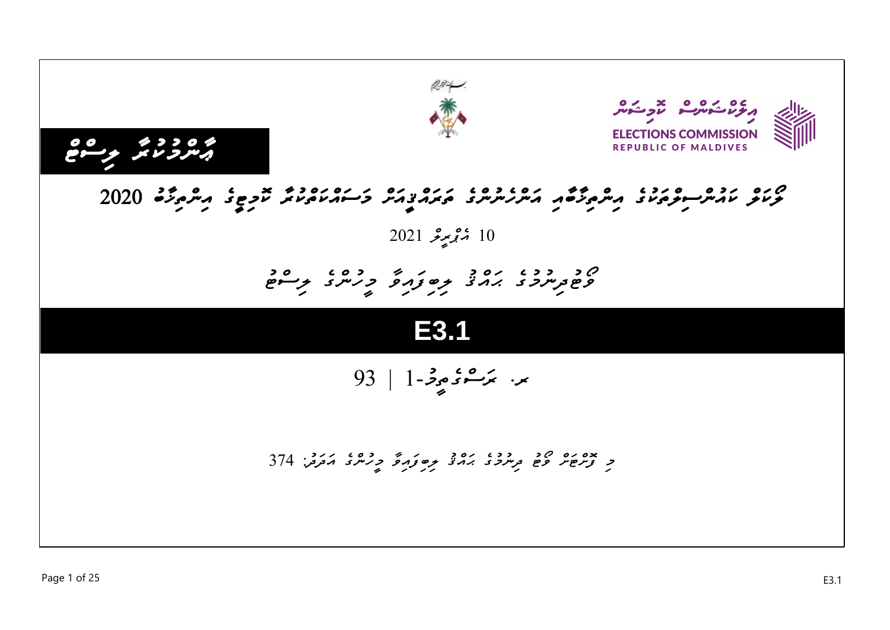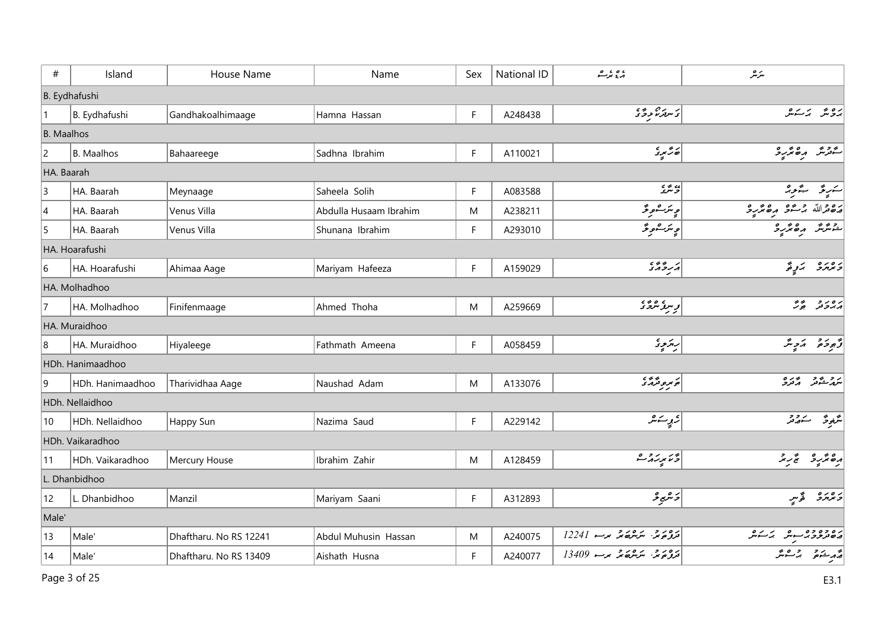| #                 | Island           | House Name             | Name                   | Sex       | National ID | ، ه ، ره<br>پر ۽ برگ            | ىئرىتر                               |
|-------------------|------------------|------------------------|------------------------|-----------|-------------|---------------------------------|--------------------------------------|
|                   | B. Eydhafushi    |                        |                        |           |             |                                 |                                      |
|                   | B. Eydhafushi    | Gandhakoalhimaage      | Hamna Hassan           | F         | A248438     | ر<br>ئەستىر ئا ئوچ ئ            | رونۇ بەسكىر                          |
| <b>B.</b> Maalhos |                  |                        |                        |           |             |                                 |                                      |
| $\mathcal{P}$     | B. Maalhos       | Bahaareege             | Sadhna Ibrahim         | F         | A110021     | پر شمېر ئا                      | בינית תסתניק                         |
| HA. Baarah        |                  |                        |                        |           |             |                                 |                                      |
| 3                 | HA. Baarah       | Meynaage               | Saheela Solih          | F         | A083588     | ں بو ،<br>حرمتری                | استهارته الشعرور<br>السنة المستعرفية |
| $\overline{4}$    | HA. Baarah       | Venus Villa            | Abdulla Husaam Ibrahim | M         | A238211     | ە بىر مەھ ئ <sup>ۇ</sup>        | رە قراللە بر شوم مەھكرىدى            |
| 5                 | HA. Baarah       | Venus Villa            | Shunana Ibrahim        | F         | A293010     | <sub>مە</sub> بىر سىمو ئۇ       | يمشر معتربه                          |
|                   | HA. Hoarafushi   |                        |                        |           |             |                                 |                                      |
| 6                 | HA. Hoarafushi   | Ahimaa Aage            | Mariyam Hafeeza        | F         | A159029     | لريزوج                          | رەرە بەر                             |
|                   | HA. Molhadhoo    |                        |                        |           |             |                                 |                                      |
|                   | HA. Molhadhoo    | Finifenmaage           | Ahmed Thoha            | M         | A259669     | ار سرچ هغه چې                   | رەر دە                               |
|                   | HA. Muraidhoo    |                        |                        |           |             |                                 |                                      |
| 8                 | HA. Muraidhoo    | Hiyaleege              | Fathmath Ameena        | F         | A058459     | رېزىپە                          | ڙوڌو پڙيڙ                            |
|                   | HDh. Hanimaadhoo |                        |                        |           |             |                                 |                                      |
| 9                 | HDh. Hanimaadhoo | Tharividhaa Aage       | Naushad Adam           | ${\sf M}$ | A133076     | ر<br>ئەمرەپە قرار ئ             | ر د و د وره<br>سمد شوتر گرفرو        |
|                   | HDh. Nellaidhoo  |                        |                        |           |             |                                 |                                      |
| 10                | HDh. Nellaidhoo  | Happy Sun              | Nazima Saud            | F         | A229142     | ئەرپەسىر                        | سَّمْوِدَّ ڪمەند                     |
|                   | HDh. Vaikaradhoo |                        |                        |           |             |                                 |                                      |
| 11                | HDh. Vaikaradhoo | Mercury House          | Ibrahim Zahir          | ${\sf M}$ | A128459     | ۇ ئە <sub>مم</sub> رىرى م       | وە ئۆر ئۆرلى                         |
|                   | L. Dhanbidhoo    |                        |                        |           |             |                                 |                                      |
| 12                | L. Dhanbidhoo    | Manzil                 | Mariyam Saani          | F         | A312893     | 5 يرى پى                        | د عرور هم محمد معرض الله             |
| Male'             |                  |                        |                        |           |             |                                 |                                      |
| 13                | Male'            | Dhaftharu. No RS 12241 | Abdul Muhusin Hassan   | ${\sf M}$ | A240075     | رەرى ئىر ئىر ھەتە بىر سىر 12241 | رەپەرەپ بەر بەسەس                    |
| 14                | Male'            | Dhaftharu. No RS 13409 | Aishath Husna          | F         | A240077     | ىرومۇ. بىر مەھمە برىسو 13409    | مەر ئىق بىر ئىشكى                    |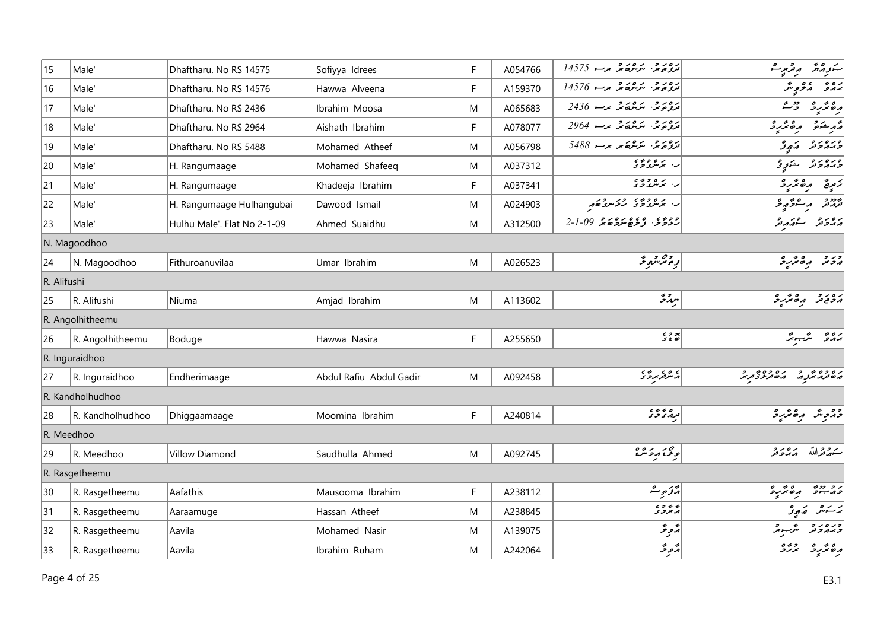| 15          | Male'            | Dhaftharu. No RS 14575      | Sofiyya Idrees          | F         | A054766 | رەر بىر سەھەتمە بىر 14575             | سكوره مد مرسر مريت                                        |
|-------------|------------------|-----------------------------|-------------------------|-----------|---------|---------------------------------------|-----------------------------------------------------------|
| 16          | Male'            | Dhaftharu. No RS 14576      | Hawwa Alveena           | F         | A159370 | يوق مرد. سرچھ تر سے 14576             | رەپ ، ۋە ئىگە                                             |
| 17          | Male'            | Dhaftharu. No RS 2436       | Ibrahim Moosa           | M         | A065683 | قرزە ئەتى. سەبىر ھەتمە ئەسىر 2436     | دومثر<br>ەر ھەتمەر 2<br>ر                                 |
| 18          | Male'            | Dhaftharu. No RS 2964       | Aishath Ibrahim         | F.        | A078077 | تروپر شریف پرے 2964                   | پھر ڪر ج<br>ەھ ئەرى                                       |
| 19          | Male'            | Dhaftharu. No RS 5488       | Mohamed Atheef          | M         | A056798 | قروم پر سرچی پر ب                     | ورەرد رە                                                  |
| 20          | Male'            | H. Rangumaage               | Mohamed Shafeeq         | M         | A037312 | ر موسوع <i>ی</i><br>ر موسوع ی         | ورەر دىم ئىر                                              |
| 21          | Male'            | H. Rangumaage               | Khadeeja Ibrahim        | F         | A037341 | ر . بر ه و و ،<br>ر . بر سری و ی      | تَامِيعٌ مِنْ الْمُحْرِدُ                                 |
| 22          | Male'            | H. Rangumaage Hulhangubai   | Dawood Ismail           | M         | A024903 | ر. برموده ورسود.                      | ودد و شر <i>گرفت</i> گر                                   |
| 23          | Male'            | Hulhu Male'. Flat No 2-1-09 | Ahmed Suaidhu           | ${\sf M}$ | A312500 | 2-1-09 روم مردم كال-1-2               | גם גב בגב<br>גגבע הבלגע                                   |
|             | N. Magoodhoo     |                             |                         |           |         |                                       |                                                           |
| 24          | N. Magoodhoo     | Fithuroanuvilaa             | Umar Ibrahim            | ${\sf M}$ | A026523 | ر وه تر <sub>مرک</sub> و محر          | 5, 20, 50, 50                                             |
| R. Alifushi |                  |                             |                         |           |         |                                       |                                                           |
| 25          | R. Alifushi      | Niuma                       | Amjad Ibrahim           | M         | A113602 | سرژی                                  | גפגב גליליק                                               |
|             | R. Angolhitheemu |                             |                         |           |         |                                       |                                                           |
| 26          | R. Angolhitheemu | Boduge                      | Hawwa Nasira            | F         | A255650 | 550                                   | برەپچ<br>ىئرىبەتر                                         |
|             | R. Inguraidhoo   |                             |                         |           |         |                                       |                                                           |
| 27          | R. Inguraidhoo   | Endherimaage                | Abdul Rafiu Abdul Gadir | M         | A092458 | پر هر پر پر پر<br>  پر سر پر پر پر پر | ر ۵۶۵۰ - د ۵۶۵۰ د میکند.<br>مان مرد مرو مان مان مرکز توسر |
|             | R. Kandholhudhoo |                             |                         |           |         |                                       |                                                           |
| 28          | R. Kandholhudhoo | Dhiggaamaage                | Moomina Ibrahim         | F         | A240814 | ه ۵ پو د<br>تو <i>۸ پ</i>             | בגבית גםתקב                                               |
|             | R. Meedhoo       |                             |                         |           |         |                                       |                                                           |
| 29          | R. Meedhoo       | <b>Villow Diamond</b>       | Saudhulla Ahmed         | M         | A092745 | ە ئەبەر ئەرە                          | يحصر الله مرورو                                           |
|             | R. Rasgetheemu   |                             |                         |           |         |                                       |                                                           |
| 30          | R. Rasgetheemu   | Aafathis                    | Mausooma Ibrahim        | F         | A238112 | پژومو مشر                             | נג מז כל כל                                               |
| 31          | R. Rasgetheemu   | Aaraamuge                   | Hassan Atheef           | M         | A238845 | ږ د د د<br>د ترو د                    | برسكاش مكافوقر                                            |
| 32          | R. Rasgetheemu   | Aavila                      | Mohamed Nasir           | M         | A139075 | أرحمو محر                             | ورەرد شەرد<br><i>בىد</i> ەردىس ش                          |
| 33          | R. Rasgetheemu   | Aavila                      | Ibrahim Ruham           | M         | A242064 | تړه پرمخه                             | دەنجرىر دەە                                               |
|             |                  |                             |                         |           |         |                                       |                                                           |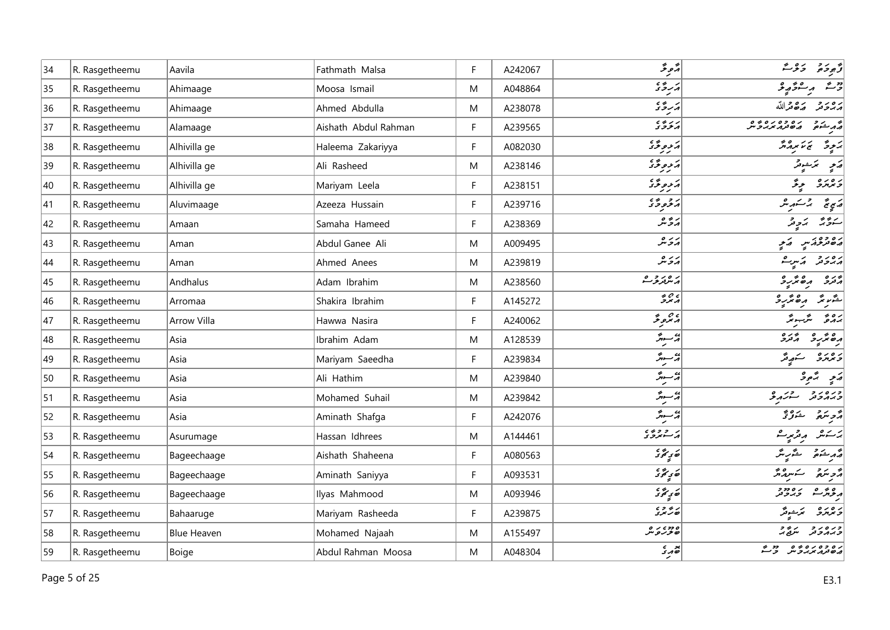| 34 | R. Rasgetheemu | Aavila             | Fathmath Malsa       | F  | A242067 | رحمو محم                                    | توره دوت                                                     |
|----|----------------|--------------------|----------------------|----|---------|---------------------------------------------|--------------------------------------------------------------|
| 35 | R. Rasgetheemu | Ahimaage           | Moosa Ismail         | M  | A048864 | ەرچ                                         | ادوية<br>برىشۇپەيى                                           |
| 36 | R. Rasgetheemu | Ahimaage           | Ahmed Abdulla        | M  | A238078 | أوسرونا                                     | بره برو بره قرالله                                           |
| 37 | R. Rasgetheemu | Alamaage           | Aishath Abdul Rahman | F. | A239565 | برژی                                        | ره وه ره د ه<br>په <i>ه تر د بر ب</i> ر څ<br>پر<br>پر کر شوی |
| 38 | R. Rasgetheemu | Alhivilla ge       | Haleema Zakariyya    | F  | A082030 | در در دی<br>  در در                         | ג'בָר הַעֹתְרָת                                              |
| 39 | R. Rasgetheemu | Alhivilla ge       | Ali Rasheed          | M  | A238146 | ە ئەرە ۋە                                   | أوسمج المخرجة                                                |
| 40 | R. Rasgetheemu | Alhivilla ge       | Mariyam Leela        | F  | A238151 | <br>  پر در و و د                           | ر ه ر ه<br><del>ر</del> بربرو<br>حرِقَر                      |
| 41 | R. Rasgetheemu | Aluvimaage         | Azeeza Hussain       | F  | A239716 | ر و په ،<br>مرخورد د                        | -<br>بر سکهر مگر<br>لهَ بِي بِجَ                             |
| 42 | R. Rasgetheemu | Amaan              | Samaha Hameed        | F. | A238369 | ىر بۇ ھ<br>مە <del>ر</del> ئىر              | سەۋرىيە<br>برَدٍ قر                                          |
| 43 | R. Rasgetheemu | Aman               | Abdul Ganee Ali      | M  | A009495 | برىر ھ                                      | גפרפג הת                                                     |
| 44 | R. Rasgetheemu | Aman               | Ahmed Anees          | M  | A239819 | برىر ھ                                      | أرەر ئەربى                                                   |
| 45 | R. Rasgetheemu | Andhalus           | Adam Ibrahim         | M  | A238560 | پر عربر و ے                                 | $rac{1}{2}$<br>ر د ه<br>د ترو                                |
| 46 | R. Rasgetheemu | Arromaa            | Shakira Ibrahim      | F  | A145272 | ى مى بو<br>مەنىرى                           | ە ھەتئەپە<br>ىشەرىتىر                                        |
| 47 | R. Rasgetheemu | <b>Arrow Villa</b> | Hawwa Nasira         | F  | A240062 | وجرعر محر                                   | بره پچ<br>ىتزىبە تە                                          |
| 48 | R. Rasgetheemu | Asia               | Ibrahim Adam         | M  | A128539 | ر،<br>در سه دیر<br>$\overline{\phantom{a}}$ | پر ہ<br>مرکز<br>ە ھەترىرى<br>برھەترىرى                       |
| 49 | R. Rasgetheemu | Asia               | Mariyam Saeedha      | F. | A239834 | ر،<br>در سه در<br>$\overline{\phantom{a}}$  | ر ه ر ه<br><del>و</del> بربرو<br>سەرپەتىر                    |
| 50 | R. Rasgetheemu | Asia               | Ali Hathim           | M  | A239840 | ي<br>مرسور                                  | $rac{1}{2}$                                                  |
| 51 | R. Rasgetheemu | Asia               | Mohamed Suhail       | M  | A239842 | ر،<br>در سه دیگر                            | و ر ه ر و<br><i>و پر</i> پر <del>و</del> ر<br>شەئەر بۇ       |
| 52 | R. Rasgetheemu | Asia               | Aminath Shafga       | F. | A242076 | ار<br>اگر سوچر                              | لمجمع يتموهم<br>شتونۇ                                        |
| 53 | R. Rasgetheemu | Asurumage          | Hassan Idhrees       | M  | A144461 | ر د د د ،                                   | ىرىكىش مەقرىپرىش                                             |
| 54 | R. Rasgetheemu | Bageechaage        | Aishath Shaheena     | F  | A080563 | ر<br>ئەس ئىمى                               | ىشتەر بىگر<br>پر<br>دگرم شومی                                |
| 55 | R. Rasgetheemu | Bageechaage        | Aminath Saniyya      | F  | A093531 | ے پر پچ<br>م                                | سەسەر<br>أأرمز                                               |
| 56 | R. Rasgetheemu | Bageechaage        | Ilyas Mahmood        | M  | A093946 | ے پر پچ<br>م                                | ەر ۋە ئە<br>ر ه دد د<br>تربر تر                              |
| 57 | R. Rasgetheemu | Bahaaruge          | Mariyam Rasheeda     | F  | A239875 | ر پر و ،<br>ن <i>ن</i> تر د                 | رەرە يەشەتر                                                  |
| 58 | R. Rasgetheemu | <b>Blue Heaven</b> | Mohamed Najaah       | M  | A155497 | ه دو ، ر ه<br><i>ه مور و</i> س              | و ر ه ر د<br>د بر پر تر تر                                   |
| 59 | R. Rasgetheemu | Boige              | Abdul Rahman Moosa   | M  | A048304 | پر<br>خوبر می                               | ره وه ره ده.<br>پره تربر تر س                                |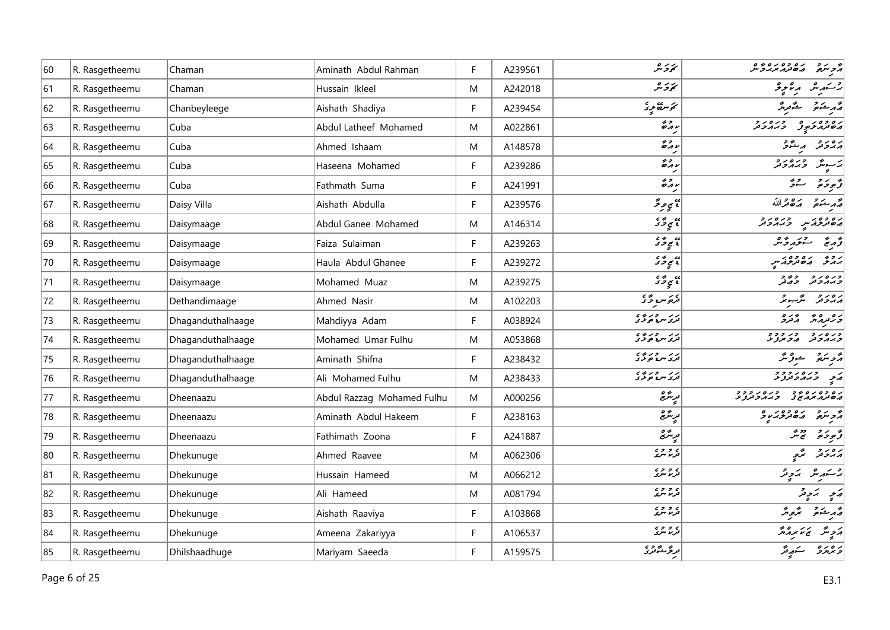| 60 | R. Rasgetheemu | Chaman            | Aminath Abdul Rahman       | F  | A239561 | ىمۇقرىش                                           | ג גר גם בסגםגם.<br>גריתם גישינגיגיביינ                                |
|----|----------------|-------------------|----------------------------|----|---------|---------------------------------------------------|-----------------------------------------------------------------------|
| 61 | R. Rasgetheemu | Chaman            | Hussain Ikleel             | M  | A242018 | ىمەترىش                                           | يز سكر شهر مرغ موقحه                                                  |
| 62 | R. Rasgetheemu | Chanbeyleege      | Aishath Shadiya            | F. | A239454 | كأسرة ويمح                                        | ر<br>پر کر شکوی<br>شَدَّ تر پُرُ                                      |
| 63 | R. Rasgetheemu | Cuba              | Abdul Latheef Mohamed      | M  | A022861 | $\overset{\circ}{\circ}$ n                        | و ره ر د<br><i>د ب</i> رگرفر<br>ر ه د ه ر ه<br>مان مرد ترجو           |
| 64 | R. Rasgetheemu | Cuba              | Ahmed Ishaam               | M  | A148578 | $\overset{\circ}{\circ}$ n                        | أرور ومشر                                                             |
| 65 | R. Rasgetheemu | Cuba              | Haseena Mohamed            | F  | A239286 | $\overset{\circ}{\circ}\overset{\circ}{\circ}\nu$ | پرسونتر وبروبرد                                                       |
| 66 | R. Rasgetheemu | Cuba              | Fathmath Suma              | F  | A241991 | $\overset{\circ}{\circ}$ lv                       | ۇ <sub>ج</sub> وڭ ئىز                                                 |
| 67 | R. Rasgetheemu | Daisy Villa       | Aishath Abdulla            | F. | A239576 | } می <sub>حر</sub> محر                            | صمر منحمر صكره ترالله                                                 |
| 68 | R. Rasgetheemu | Daisymaage        | Abdul Ganee Mohamed        | M  | A146314 | ړه په ده<br>د منځ د                               | גפכפגית כגם גב                                                        |
| 69 | R. Rasgetheemu | Daisymaage        | Faiza Sulaiman             | F. | A239263 | )<br>په سپې د ک                                   | أزرنج سنخدر محمد                                                      |
| 70 | R. Rasgetheemu | Daisymaage        | Haula Abdul Ghanee         | F. | A239272 | ر<br>پانگ پی تر <sub>ک</sub>                      | روو رەوەرس                                                            |
| 71 | R. Rasgetheemu | Daisymaage        | Mohamed Muaz               | M  | A239275 | ر<br>پانگنج تر <sub>ک</sub>                       | כנסנכ כבב<br>כ <i>ההכנק כה</i> ב                                      |
| 72 | R. Rasgetheemu | Dethandimaage     | Ahmed Nasir                | M  | A102203 |                                                   | رەرد شەر                                                              |
| 73 | R. Rasgetheemu | Dhaganduthalhaage | Mahdiyya Adam              | F  | A038924 | ر ر سر و ر بر د<br>تری سره بح <sup>ری</sup> ی     | בלטרות הינב                                                           |
| 74 | R. Rasgetheemu | Dhaganduthalhaage | Mohamed Umar Fulhu         | M  | A053868 | ر ر سر د ر د د<br>تر کسره کاری                    | כנסנכ כנככב<br>כממכת מכמצע                                            |
| 75 | R. Rasgetheemu | Dhaganduthalhaage | Aminath Shifna             | F  | A238432 | ر ر سر و ر بر د<br>تری سره بی تر ی                | أزويتكم سورتكر                                                        |
| 76 | R. Rasgetheemu | Dhaganduthalhaage | Ali Mohamed Fulhu          | M  | A238433 | ر ر سر و ر بر د<br>تری سره بح <sup>ری</sup> ی     | در دره د دود<br>مربح تربر د دود                                       |
| 77 | R. Rasgetheemu | Dheenaazu         | Abdul Razzag Mohamed Fulhu | M  | A000256 | مریٹرچ                                            | ر 0 0 0 0 0 0 0 0 0 0 0 0 0 0 0<br>4 ס تر ۾ سر سر سر سر سر سر قرقي پر |
| 78 | R. Rasgetheemu | Dheenaazu         | Aminath Abdul Hakeem       | F. | A238163 | وريثرج                                            | رە دەر بەر<br>أزمر برد                                                |
| 79 | R. Rasgetheemu | Dheenaazu         | Fathimath Zoona            | F  | A241887 | مریٹرچ                                            | ومجمج وحمح<br>دو پر<br>س                                              |
| 80 | R. Rasgetheemu | Dhekunuge         | Ahmed Raavee               | M  | A062306 | ړ و و ړ<br>تور مر                                 | رەر دىگو                                                              |
| 81 | R. Rasgetheemu | Dhekunuge         | Hussain Hameed             | M  | A066212 | ړ <i>د</i> و ،<br>تور کمبرۍ                       | ج ڪمريش ڪي پڻ                                                         |
| 82 | R. Rasgetheemu | Dhekunuge         | Ali Hameed                 | M  | A081794 | ے ج ج ے<br>توریم سری                              | أوأمج أأسكر وتمر                                                      |
| 83 | R. Rasgetheemu | Dhekunuge         | Aishath Raaviya            | F. | A103868 | ړ <i>د</i> پر<br>تور تمري                         |                                                                       |
| 84 | R. Rasgetheemu | Dhekunuge         | Ameena Zakariyya           | F  | A106537 | ے ج ج ے<br>توریم سری                              | הַבְית הַעְתָת                                                        |
| 85 | R. Rasgetheemu | Dhilshaadhuge     | Mariyam Saeeda             | F. | A159575 | د 9 ش <sup>ور ب</sup> ر                           | ترەرە سەرىگە                                                          |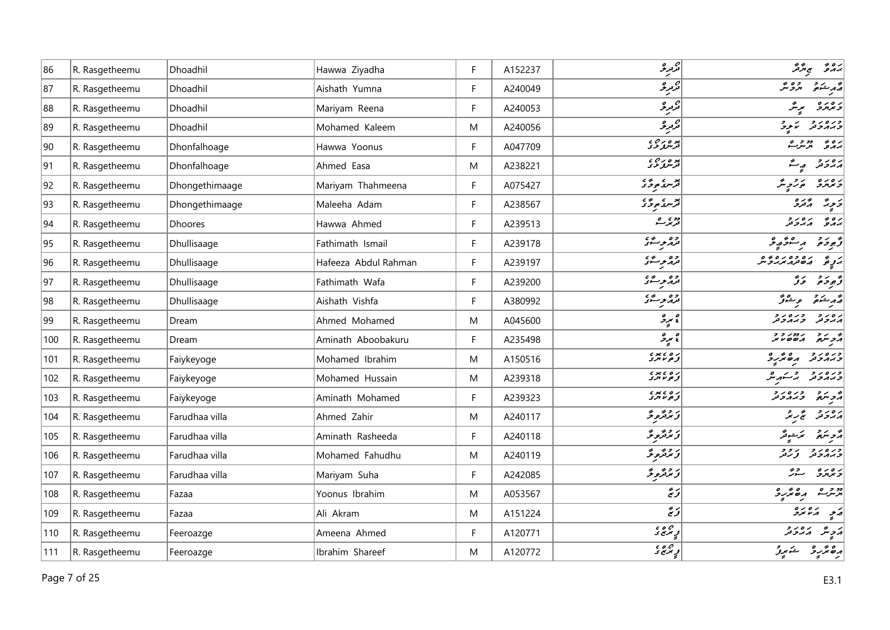| 86           | R. Rasgetheemu | Dhoadhil       | Hawwa Ziyadha        | F. | A152237 | ە<br>مۇمۇم                                   | برە ئە بەرگە                                          |
|--------------|----------------|----------------|----------------------|----|---------|----------------------------------------------|-------------------------------------------------------|
| 87           | R. Rasgetheemu | Dhoadhil       | Aishath Yumna        | F  | A240049 | ترمرتر                                       | و ه مر<br>مرد سر<br>پھر مشرح<br>م                     |
| 88           | R. Rasgetheemu | Dhoadhil       | Mariyam Reena        | F  | A240053 | ترمریحه                                      | ر ه ر ه<br>د بر در<br>ېږېدنگه                         |
| 89           | R. Rasgetheemu | Dhoadhil       | Mohamed Kaleem       | M  | A240056 | شرمر عم                                      | و ر ه ر د<br>تر پر تر تر<br>لأعرقه                    |
| $ 90\rangle$ | R. Rasgetheemu | Dhonfalhoage   | Hawwa Yoonus         | F  | A047709 |                                              | ود و ه<br>ر ە بە<br>برادى                             |
| 91           | R. Rasgetheemu | Dhonfalhoage   | Ahmed Easa           | M  | A238221 | بو ہ پر ہے یہ<br>توسرتی تر <sub>ک</sub>      | أرور و ميگ                                            |
| 92           | R. Rasgetheemu | Dhongethimaage | Mariyam Thahmeena    | F  | A075427 | بر<br>قرسدگر <i>قر</i>                       | ە ئەرىپە ئە<br>ر ه ر ه<br><del>ر</del> بربرگ          |
| 93           | R. Rasgetheemu | Dhongethimaage | Maleeha Adam         | F  | A238567 | پر سر کار دی<br>قرمبر کار کر                 | پور ہ<br>مرکز<br>  تەمەپىر                            |
| 94           | R. Rasgetheemu | <b>Dhoores</b> | Hawwa Ahmed          | F. | A239513 | ود ۽ ه<br>تريمر ڪ                            | برەپچ<br>بر ه بر د<br>م <i>ر</i> گر <del>و</del> تر   |
| 95           | R. Rasgetheemu | Dhullisaage    | Fathimath Ismail     | F. | A239178 | وه <sub>مر</sub> گريم                        | برحوثور<br>ا محمود مو<br>الرجو حم                     |
| 96           | R. Rasgetheemu | Dhullisaage    | Hafeeza Abdul Rahman | F  | A239197 | وه و مړي<br>مر <sub>م</sub> و مس             | ره وه ره ده.<br>په ه تر پر بر بر<br>برَوٍةً           |
| 97           | R. Rasgetheemu | Dhullisaage    | Fathimath Wafa       | F  | A239200 | وه و په په<br>تروگر                          | و مرد<br>ترجو حرمو<br>ءَڙُ                            |
| 98           | R. Rasgetheemu | Dhullisaage    | Aishath Vishfa       | F  | A380992 | وه پر پرې<br>مرد پر پ                        | ومشكا وشنق                                            |
| 99           | R. Rasgetheemu | Dream          | Ahmed Mohamed        | M  | A045600 | ه<br>٤ سرچ                                   | ىر 2 مەر<br>مەيرى قىر<br>و رە ر د<br><i>د بر</i> گرىر |
| 100          | R. Rasgetheemu | Dream          | Aminath Aboobakuru   | F  | A235498 | ه<br>پاسچه                                   | 77/77/<br>ە ئەر سىرە                                  |
| 101          | R. Rasgetheemu | Faiykeyoge     | Mohamed Ibrahim      | M  | A150516 | ر ۵ بر پر د<br>تو <i>بر</i> مرد              | בגתכת תפיציב                                          |
| 102          | R. Rasgetheemu | Faiykeyoge     | Mohamed Hussain      | M  | A239318 | ر ۵ بر پر د<br>تو <i>م</i> ر مر <sub>ک</sub> | برستىرىتى<br>و ر ه ر د<br>تر پر تر تر                 |
| 103          | R. Rasgetheemu | Faiykeyoge     | Aminath Mohamed      | F  | A239323 | ر ۵ بر پر د<br>تو <i>م</i> ر مر <sub>ک</sub> | و ر ه ر د<br>تر پر ژ تر<br>لجمعر معرو                 |
| 104          | R. Rasgetheemu | Farudhaa villa | Ahmed Zahir          | Μ  | A240117 | دَ بَرْدَّرُهِ تَرَ                          | ر ەر د<br>م.رى تر<br>پچ ريز<br>س                      |
| 105          | R. Rasgetheemu | Farudhaa villa | Aminath Rasheeda     | F. | A240118 | زیرْتَرْمِ تَرْ                              | أرمز برد<br>ىمەرشەدىگر                                |
| 106          | R. Rasgetheemu | Farudhaa villa | Mohamed Fahudhu      | M  | A240119 | تر ترترُّهِ تَرَ                             | ورەر د رود<br><i>وبەم</i> خىر ك <i>ى</i> رتىر         |
| 107          | R. Rasgetheemu | Farudhaa villa | Mariyam Suha         | F  | A242085 | ۇ ترت <i>زٌه پ</i> ۇ                         | سترشح<br>ر ه ر ه<br><del>د</del> بربرگ                |
| 108          | R. Rasgetheemu | Fazaa          | Yoonus Ibrahim       | M  | A053567 | تریخ                                         | ەھ ترىر ۋ<br>ترىرم                                    |
| 109          | R. Rasgetheemu | Fazaa          | Ali Akram            | M  | A151224 | ترتج                                         |                                                       |
| 110          | R. Rasgetheemu | Feeroazge      | Ameena Ahmed         | F  | A120771 | رچ و ۽<br>پوتين ت                            | پرور و<br>ړَ په پټر                                   |
| 111          | R. Rasgetheemu | Feeroazge      | Ibrahim Shareef      | M  | A120772 | و ۵ ۵ می<br>م <sub>و</sub> تریخ <sub>ک</sub> | رە ئەر ئىسىر                                          |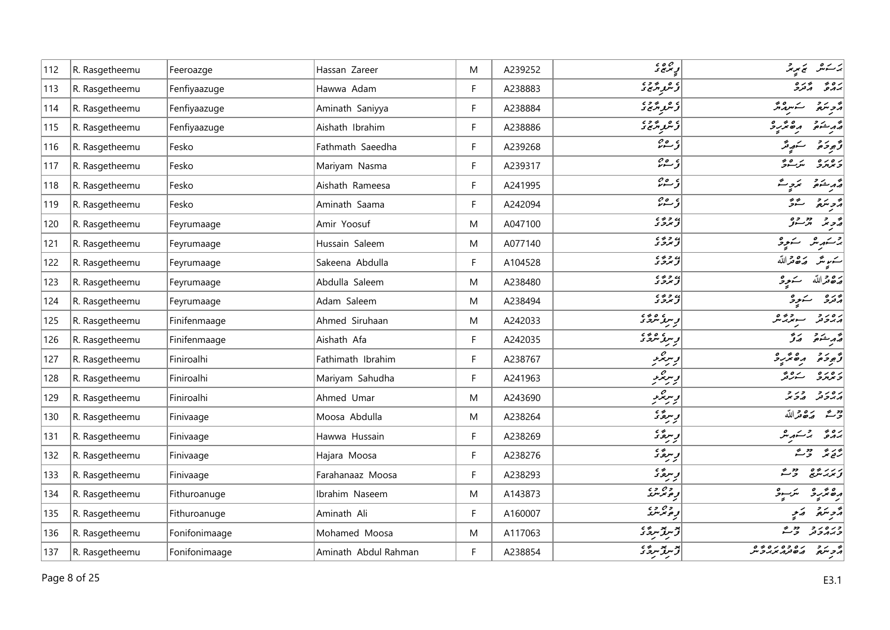| 112 | R. Rasgetheemu | Feeroazge     | Hassan Zareer        | M  | A239252 | و ۵ ۵ م<br>پ <sub>و</sub> ټرې <sub>ک</sub>         | برسەيىتە<br>ىج ئىچە تىر                                                                                                                                                |
|-----|----------------|---------------|----------------------|----|---------|----------------------------------------------------|------------------------------------------------------------------------------------------------------------------------------------------------------------------------|
| 113 | R. Rasgetheemu | Fenfiyaazuge  | Hawwa Adam           | F. | A238883 | ې ه <sub>رو</sub> پر دې<br>د شر <sub>و</sub> پر پر | ر ه و<br>برد و<br>پور ہ<br>پر تر تر                                                                                                                                    |
| 114 | R. Rasgetheemu | Fenfiyaazuge  | Aminath Saniyya      | F. | A238884 | ې هرو پر دې<br>د سرو پر پر                         | سەسەبە<br>ړګر سرچ                                                                                                                                                      |
| 115 | R. Rasgetheemu | Fenfiyaazuge  | Aishath Ibrahim      | F. | A238886 | ې هرو پر دې<br>د سرو پر پر د                       | ە ھەترىرى<br>د مر شوځ<br>مر                                                                                                                                            |
| 116 | R. Rasgetheemu | Fesko         | Fathmath Saeedha     | F  | A239268 | ې ده،                                              | ۇ بوخ <sup>م</sup> ۇ                                                                                                                                                   |
| 117 | R. Rasgetheemu | Fesko         | Mariyam Nasma        | F  | A239317 | ې مه په                                            | ر ه ر ه<br><del>و</del> بربرو<br>ىئرىشۇ                                                                                                                                |
| 118 | R. Rasgetheemu | Fesko         | Aishath Rameesa      | F. | A241995 | ې مه په                                            | ر<br>پر گرمسکو ج<br>بمرجه مشر                                                                                                                                          |
| 119 | R. Rasgetheemu | Fesko         | Aminath Saama        | F  | A242094 | ې ده،                                              | رميح<br>أروسكو                                                                                                                                                         |
| 120 | R. Rasgetheemu | Feyrumaage    | Amir Yoosuf          | M  | A047100 | پے ح پے پے<br>  تو سرچ پ                           | وزحر<br>دد ره و                                                                                                                                                        |
| 121 | R. Rasgetheemu | Feyrumaage    | Hussain Saleem       | M  | A077140 | ، د د د د<br>او بود د                              | چرىسى سەرچ                                                                                                                                                             |
| 122 | R. Rasgetheemu | Feyrumaage    | Sakeena Abdulla      | F. | A104528 | در و در د<br>تو بورس                               | ے پٹر مَرْدِ قِرْاللّهِ                                                                                                                                                |
| 123 | R. Rasgetheemu | Feyrumaage    | Abdulla Saleem       | M  | A238480 | در و در د<br>تو بورس ی                             | ەھىراللە<br>ستهور                                                                                                                                                      |
| 124 | R. Rasgetheemu | Feyrumaage    | Adam Saleem          | M  | A238494 | پە ج چ ي<br>  تۇ ئىرىتى ئ                          | په ره<br>د ترو<br>ستعوقر                                                                                                                                               |
| 125 | R. Rasgetheemu | Finifenmaage  | Ahmed Siruhaan       | M  | A242033 | ار سره عرضه<br>سره شر <i>ه</i> د                   | سەمەر ئەھر<br>ر ه ر د<br>م.پر <del>د</del> تر                                                                                                                          |
| 126 | R. Rasgetheemu | Finifenmaage  | Aishath Afa          | F. | A242035 | ى <sub>ر س</sub> وڭرىگە ئ                          | $\begin{array}{cc} \overline{a} & \overline{a} & \overline{a} \\ \overline{a} & \overline{a} & \overline{a} \\ \overline{a} & \overline{a} & \overline{a} \end{array}$ |
| 127 | R. Rasgetheemu | Finiroalhi    | Fathimath Ibrahim    | F. | A238767 | وسرچمو                                             | وە ئۆرۈ<br>ۇ بوزىر                                                                                                                                                     |
| 128 | R. Rasgetheemu | Finiroalhi    | Mariyam Sahudha      | F  | A241963 | وسرچمو                                             | ر ه بر ه<br><del>د</del> بر بر و<br>سترقر                                                                                                                              |
| 129 | R. Rasgetheemu | Finiroalhi    | Ahmed Umar           | M  | A243690 | وسرچمو                                             | ر ه ر د<br>م.ر څر<br>ەرىر                                                                                                                                              |
| 130 | R. Rasgetheemu | Finivaage     | Moosa Abdulla        | M  | A238264 | وسرة کا                                            | وحثه وكافد الله                                                                                                                                                        |
| 131 | R. Rasgetheemu | Finivaage     | Hawwa Hussain        | F  | A238269 | و سرچ <sup>ء</sup><br>تر بر                        | برسەمەرىش<br>رە بە<br>بەد ئ                                                                                                                                            |
| 132 | R. Rasgetheemu | Finivaage     | Hajara Moosa         | F  | A238276 | و سرچء<br>بر                                       | ورو دون <sub>د</sub>                                                                                                                                                   |
| 133 | R. Rasgetheemu | Finivaage     | Farahanaaz Moosa     | F  | A238293 | وسرة کا                                            | ىر بەر بەرە<br>تونىرىدىنى<br>دو مشر                                                                                                                                    |
| 134 | R. Rasgetheemu | Fithuroanuge  | Ibrahim Naseem       | M  | A143873 | وه وه<br>د وه مرس                                  | ەر ھەتمەر 2<br>ر<br>ىئرسىدى                                                                                                                                            |
| 135 | R. Rasgetheemu | Fithuroanuge  | Aminath Ali          | F. | A160007 | د ه ه ه ه ه<br>د ه مرس                             | أأحر سكافح الأمر                                                                                                                                                       |
| 136 | R. Rasgetheemu | Fonifonimaage | Mohamed Moosa        | M  | A117063 | ب <sup>ە</sup> سرىز سرچ <sup>ى</sup>               | دو مح<br>و ر ه ر د<br>تر پر تر تر                                                                                                                                      |
| 137 | R. Rasgetheemu | Fonifonimaage | Aminath Abdul Rahman | F. | A238854 | ېژسر تر سرگ <sup>ي</sup>                           | ر ه و ه ر ه د ه<br>پره تر پر پر تر سر<br>ړ د سره                                                                                                                       |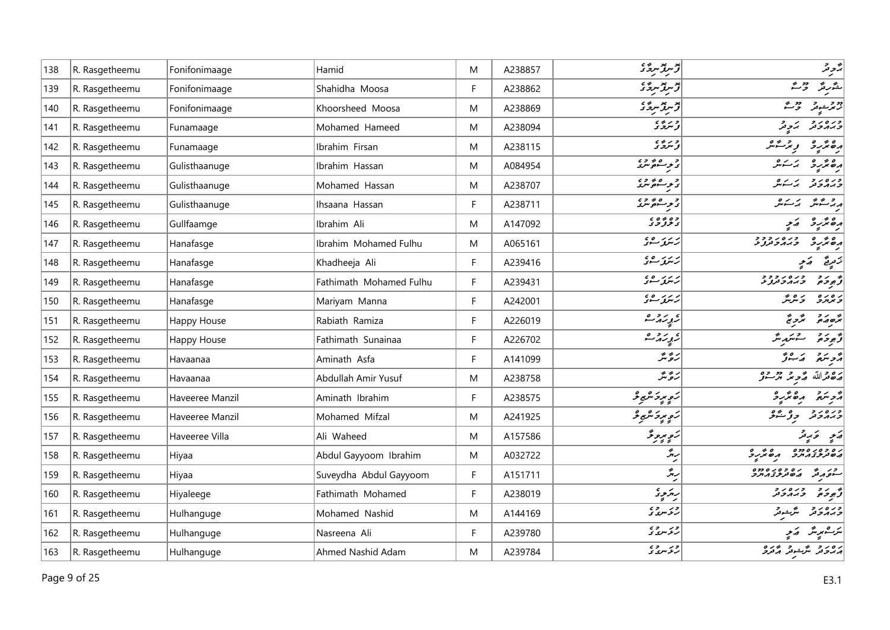| 138 | R. Rasgetheemu | Fonifonimaage   | Hamid                   | M           | A238857 | ۇ بىر ئەسرى <sup>مى</sup> ئ                        |                                                                                                                   |
|-----|----------------|-----------------|-------------------------|-------------|---------|----------------------------------------------------|-------------------------------------------------------------------------------------------------------------------|
| 139 | R. Rasgetheemu | Fonifonimaage   | Shahidha Moosa          | $\mathsf F$ | A238862 | ېز سرچ سرچ <sup>ي</sup>                            | $\frac{2}{3}$<br>$\frac{2}{3}$<br>$\frac{2}{3}$<br>$\frac{2}{3}$<br>$\frac{2}{3}$<br>دين مشر                      |
| 140 | R. Rasgetheemu | Fonifonimaage   | Khoorsheed Moosa        | M           | A238869 | دسمبر<br>توسی <i>ر شرح</i>                         | در در در در در در در در کند.<br>مرکز در در در در در کند و بر در کند و بر در کند و بر در کند و بر در کار در کار در |
| 141 | R. Rasgetheemu | Funamaage       | Mohamed Hameed          | M           | A238094 | و ر د د<br>توسرچ د                                 | בגם בי הבה                                                                                                        |
| 142 | R. Rasgetheemu | Funamaage       | Ibrahim Firsan          | M           | A238115 | و ر د د<br>توسرچ د                                 | معتررو وبرخش                                                                                                      |
| 143 | R. Rasgetheemu | Gulisthaanuge   | Ibrahim Hassan          | M           | A084954 | د وره ژوئر                                         | رەنۇر ئەسەر                                                                                                       |
| 144 | R. Rasgetheemu | Gulisthaanuge   | Mohamed Hassan          | M           | A238707 | ا د و ه ه و د ه<br>ار و شوهر                       | ورەرو پرىكە                                                                                                       |
| 145 | R. Rasgetheemu | Gulisthaanuge   | Ihsaana Hassan          | E           | A238711 | د وره ژوئر                                         | مەئەشقىر ئەسكىر                                                                                                   |
| 146 | R. Rasgetheemu | Gullfaamge      | Ibrahim Ali             | M           | A147092 | و ه و ه ه ،<br>د <del>و</del> تو و د               |                                                                                                                   |
| 147 | R. Rasgetheemu | Hanafasge       | Ibrahim Mohamed Fulhu   | M           | A065161 | ر بربر مړي<br>ترسري                                | ور ه ر و و و<br>تر پر پر ترو تر                                                                                   |
| 148 | R. Rasgetheemu | Hanafasge       | Khadheeja Ali           | F           | A239416 | ىر يېزىر 2 <sub>5</sub>                            | رَسٍ تَمَرٍ                                                                                                       |
| 149 | R. Rasgetheemu | Hanafasge       | Fathimath Mohamed Fulhu | F           | A239431 | ر بربر <u>م</u> وءِ                                | و ره ر و و و<br>تر پر ژنرو نړ<br>و گهجو څخه د                                                                     |
| 150 | R. Rasgetheemu | Hanafasge       | Mariyam Manna           | F           | A242001 | ىز ئىرىم شىرى                                      | ر ه ر ه<br><del>د</del> بربرگ<br>ىر ھەيگە                                                                         |
| 151 | R. Rasgetheemu | Happy House     | Rabiath Ramiza          | F           | A226019 | ع پورې <sub>ر</sub> ه<br>پ                         |                                                                                                                   |
| 152 | R. Rasgetheemu | Happy House     | Fathimath Sunainaa      | F           | A226702 | ى پ <sub>ە</sub> رىر ئە                            | شە ئىرىدىگە<br>وٌ جو حَرْ حَرْ                                                                                    |
| 153 | R. Rasgetheemu | Havaanaa        | Aminath Asfa            | F           | A141099 | ىر ئەمە<br>سىرىپىتىر                               | ۇ جە ئەھ ئە                                                                                                       |
| 154 | R. Rasgetheemu | Havaanaa        | Abdullah Amir Yusuf     | M           | A238758 | ىر ئەس<br>مەھ                                      | رە داللە گ <sub>ە</sub> ر بر موردە                                                                                |
| 155 | R. Rasgetheemu | Haveeree Manzil | Aminath Ibrahim         | F           | A238575 | ئەمەيرىخەتلىبى <sup>تى</sup>                       | أزوينتي وكالمردد                                                                                                  |
| 156 | R. Rasgetheemu | Haveeree Manzil | Mohamed Mifzal          | M           | A241925 | ر <sub>َموٍ برِ دَ مْر<sub>ْبَع</sub> وْ</sub>     | ورەرو وەپپۇ                                                                                                       |
| 157 | R. Rasgetheemu | Haveeree Villa  | Ali Waheed              | M           | A157586 | ا تەھەبىرە ئ <sup>ۇ</sup> .<br>ئىس <u>سىسى</u> مىز | أركمت وكالميافر                                                                                                   |
| 158 | R. Rasgetheemu | Hiyaa           | Abdul Gayyoom Ibrahim   | M           | A032722 | رېژ                                                | ر ۵ ۶ و ۵ ره وده<br>ג ځ تر پور تر پر<br>رە ئربە                                                                   |
| 159 | R. Rasgetheemu | Hiyaa           | Suveydha Abdul Gayyoom  | F           | A151711 | ىرىژ                                               | כן הי נסיפסן סמס                                                                                                  |
| 160 | R. Rasgetheemu | Hiyaleege       | Fathimath Mohamed       | F           | A238019 | رېز <sub>مونه</sub><br>ر                           | و ده دره در                                                                                                       |
| 161 | R. Rasgetheemu | Hulhanguge      | Mohamed Nashid          | M           | A144169 | و ر<br>رنگ سرن ی                                   | ورەر دەر ئەسىر<br><i>دىد</i> ەر ئەسىر                                                                             |
| 162 | R. Rasgetheemu | Hulhanguge      | Nasreena Ali            | F           | A239780 | و ر رو د<br>رنگ سری ی                              | ىكرىشىمېدىگە كەنچ                                                                                                 |
| 163 | R. Rasgetheemu | Hulhanguge      | Ahmed Nashid Adam       | M           | A239784 | و ر<br>رنگ سرن ی                                   | رەر 3 شەر 2 2 دە<br>م. <i>رو</i> تر  شىشەتر  م.تر <i>و</i>                                                        |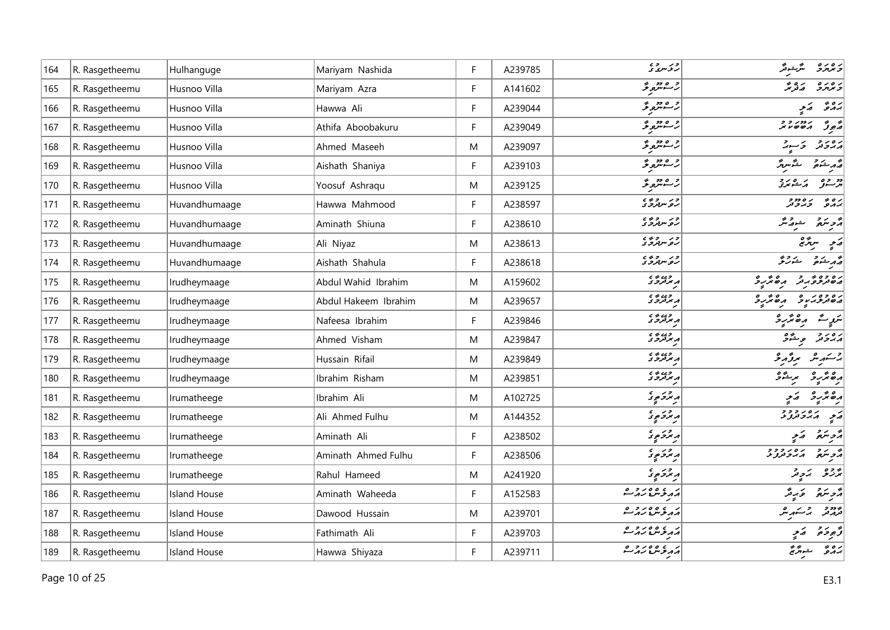| 164 | R. Rasgetheemu | Hulhanguge          | Mariyam Nashida      | F  | A239785 | و ر سر و ،<br>ری سر پر ی                | سُرَشدترٌ<br>ر ه ر ه<br><del>ر</del> بربر ژ     |
|-----|----------------|---------------------|----------------------|----|---------|-----------------------------------------|-------------------------------------------------|
| 165 | R. Rasgetheemu | Husnoo Villa        | Mariyam Azra         | F. | A141602 | <sub>حر</sub> م مت <sub>ع</sub> بر      | تر مرد ه<br>ر ہ<br>در فرنگ                      |
| 166 | R. Rasgetheemu | Husnoo Villa        | Hawwa Ali            | F  | A239044 | <sup>ح</sup> رث متز <sub>عر م</sub> حّر | رەپچ<br>رځ په                                   |
| 167 | R. Rasgetheemu | Husnoo Villa        | Athifa Aboobakuru    | F  | A239049 | ر مەمبر <sub>ى</sub> ئە                 | 77777<br>ومجوقر                                 |
| 168 | R. Rasgetheemu | Husnoo Villa        | Ahmed Maseeh         | M  | A239097 | <sup>ر</sup> سەيتر <sub>ى</sub> ئە      | رەر ئەر                                         |
| 169 | R. Rasgetheemu | Husnoo Villa        | Aishath Shaniya      | F  | A239103 | <sup>ح م</sup> ەمبىرىمۇ ئى              | وكرمشكم متكسركر                                 |
| 170 | R. Rasgetheemu | Husnoo Villa        | Yoosuf Ashraqu       | M  | A239125 | <sup>ح</sup> ر مەمتر <sub>ى ب</sub> ۇ   | دو ده در در در د                                |
| 171 | R. Rasgetheemu | Huvandhumaage       | Hawwa Mahmood        | F  | A238597 | و ر په وه و<br>رو سربرو د               | رەپ رەددى<br>برېرى <i>دېرو</i> تر               |
| 172 | R. Rasgetheemu | Huvandhumaage       | Aminath Shiuna       | F  | A238610 | و ر په وه و<br>رو سربرو د               | أثر حريجو<br>شەرگە ئىگر                         |
| 173 | R. Rasgetheemu | Huvandhumaage       | Ali Niyaz            | M  | A238613 | و ر په وه و<br>رو سربرو د               |                                                 |
| 174 | R. Rasgetheemu | Huvandhumaage       | Aishath Shahula      | F. | A238618 | ور سروره د<br>ره سربرو د                | أقهر شوة الشورقى                                |
| 175 | R. Rasgetheemu | Irudheymaage        | Abdul Wahid Ibrahim  | M  | A159602 | <br>  مرمر تروی                         | ر - ه و ه و بر در<br>  پر ه تر تر تر<br>دە ئەرچ |
| 176 | R. Rasgetheemu | Irudheymaage        | Abdul Hakeem Ibrahim | M  | A239657 | پر چيز چي                               | دە ئەرد<br>ره وه ر<br>په قربر بر د              |
| 177 | R. Rasgetheemu | Irudheymaage        | Nafeesa Ibrahim      | F  | A239846 | و پر و د و<br>د مرتور و د               | ىئرىر مەھرىر                                    |
| 178 | R. Rasgetheemu | Irudheymaage        | Ahmed Visham         | M  | A239847 | و ده و د و<br>د جونور و د               | برەر ئەمەم ئە                                   |
| 179 | R. Rasgetheemu | Irudheymaage        | Hussain Rifail       | M  | A239849 | <br>  پر برترو <sub>ک</sub>             | ىر تۇر بى<br>جر س <sub>ک</sub> ر میں<br>م       |
| 180 | R. Rasgetheemu | Irudheymaage        | Ibrahim Risham       | M  | A239851 | د وړ، د ،<br>د مرمرد د                  | ەرھەترىر <sup>ى</sup><br>ىرىشۇ                  |
| 181 | R. Rasgetheemu | Irumatheege         | Ibrahim Ali          | M  | A102725 | ېر تر <i>دې</i><br>ر                    | رە ئۆر ئەير                                     |
| 182 | R. Rasgetheemu | Irumatheege         | Ali Ahmed Fulhu      | M  | A144352 | ېر بر دې<br>بر بر دې                    | در در دود.<br>در درودرو                         |
| 183 | R. Rasgetheemu | Irumatheege         | Aminath Ali          | F. | A238502 | ېر تر دې<br>بر تر دې                    | ومحر ينتم وأوجبه                                |
| 184 | R. Rasgetheemu | Irumatheege         | Aminath Ahmed Fulhu  | F  | A238506 | ېر تر دې<br>بر تر دې                    | و شرح در دو د                                   |
| 185 | R. Rasgetheemu | Irumatheege         | Rahul Hameed         | M  | A241920 | ېر تر دې<br>ر                           | پر ژو پر پر ژ                                   |
| 186 | R. Rasgetheemu | <b>Island House</b> | Aminath Waheeda      | F  | A152583 | ىر مۇسى بەر م                           | مَّحِ مَرْمَّةٌ وَ مِرْمَّدٌ                    |
| 187 | R. Rasgetheemu | <b>Island House</b> | Dawood Hussain       | M  | A239701 | ىر بە ھەر جەم ھ                         | پر دو و<br>تو پر تو<br>بر سەمەرىش               |
| 188 | R. Rasgetheemu | <b>Island House</b> | Fathimath Ali        | F. | A239703 | ىر بە ھەر بەر م                         | ۇ بوزىر                                         |
| 189 | R. Rasgetheemu | <b>Island House</b> | Hawwa Shiyaza        | F  | A239711 | ىر بە ھەمزەر ھ                          | برەپچ<br>شەدگرىگى                               |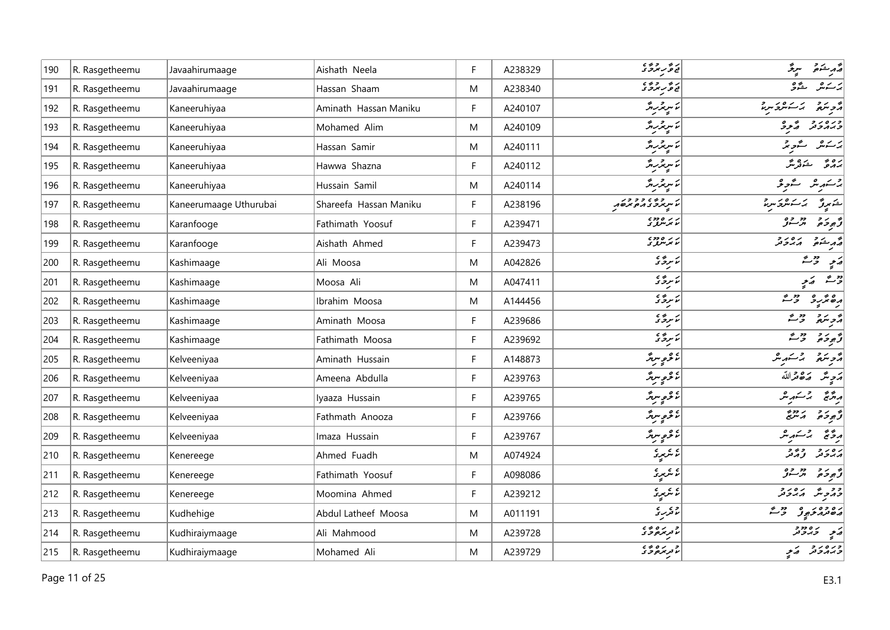| 190 | R. Rasgetheemu | Javaahirumaage         | Aishath Neela          | F           | A238329 | پر ځېږ چې په<br>  پنج ځې چر چې چې                        | اړم کوه ده.<br>سرچينې<br>سريڅر                                           |
|-----|----------------|------------------------|------------------------|-------------|---------|----------------------------------------------------------|--------------------------------------------------------------------------|
| 191 | R. Rasgetheemu | Javaahirumaage         | Hassan Shaam           | M           | A238340 | ر پر پر پر پر<br>محمد سرچ <sub>ک</sub>                   | بزسەيىتە<br>ستذر                                                         |
| 192 | R. Rasgetheemu | Kaneeruhiyaa           | Aminath Hassan Maniku  | F           | A240107 | ئەسرىرىرىدۇ<br>ئ                                         | הכתים גבתכתי                                                             |
| 193 | R. Rasgetheemu | Kaneeruhiyaa           | Mohamed Alim           | M           | A240109 | ئەسرىترىرىتر<br>ئ                                        | و ر ه ر د<br>تر پر ژ تر<br>ەردى                                          |
| 194 | R. Rasgetheemu | Kaneeruhiyaa           | Hassan Samir           | M           | A240111 | ئەسرىرىرىدۇ<br>ئ                                         | يز سەش سەھ بىر                                                           |
| 195 | R. Rasgetheemu | Kaneeruhiyaa           | Hawwa Shazna           | F           | A240112 | ىكە سەيھەر پەر                                           | رە بە ھەۋرىگر                                                            |
| 196 | R. Rasgetheemu | Kaneeruhiyaa           | Hussain Samil          | M           | A240114 | ر<br>ماسو برگر دیگر                                      | چرىكىرىنى كەرگى                                                          |
| 197 | R. Rasgetheemu | Kaneerumaage Uthurubai | Shareefa Hassan Maniku | F           | A238196 | ر<br>کومبربر <del>د</del> ۶ و و وړ<br>کومبربر ۶ کارې مرک | بر کے مرکز سربر<br>اڪسمبرڙ<br>ح                                          |
| 198 | R. Rasgetheemu | Karanfooge             | Fathimath Yoosuf       | F           | A239471 | ر ر ۲۵۵<br>ما بر سربی ی                                  | و د د ده وه<br>ژبوده ارسن                                                |
| 199 | R. Rasgetheemu | Karanfooge             | Aishath Ahmed          | F           | A239473 | ر ر د د د د<br>را بر سرو د                               | ائ <sup>ی</sup> ہر شہور<br>مرکز شہور<br>ەر دەر                           |
| 200 | R. Rasgetheemu | Kashimaage             | Ali Moosa              | M           | A042826 | ړ<br>تارود                                               | ړې د په                                                                  |
| 201 | R. Rasgetheemu | Kashimaage             | Moosa Ali              | M           | A047411 | ئەسرچە<br>ئاسرچە                                         | $\frac{1}{2}$ $\frac{2}{3}$                                              |
| 202 | R. Rasgetheemu | Kashimaage             | Ibrahim Moosa          | M           | A144456 | ر<br>ماسرچۍ                                              | ە ھېڭرىر<br>بر ھېڭرىرى<br>دين شر                                         |
| 203 | R. Rasgetheemu | Kashimaage             | Aminath Moosa          | $\mathsf F$ | A239686 | ر<br>ما مورد د                                           | أروسكو<br>دحيمه                                                          |
| 204 | R. Rasgetheemu | Kashimaage             | Fathimath Moosa        | F           | A239692 | ر<br>ما مرچ ي                                            | ۇ بوز <sub>ە</sub><br>وحرثة                                              |
| 205 | R. Rasgetheemu | Kelveeniyaa            | Aminath Hussain        | F           | A148873 | ، ۋ <sub>ە بىرى</sub> ر                                  | أروسكم بالتسريك                                                          |
| 206 | R. Rasgetheemu | Kelveeniyaa            | Ameena Abdulla         | F           | A239763 | ءُ قُرمٍ سر پُر<br>مسجو                                  | مَحِيمٌ مَهْ قَرْاللَّهُ                                                 |
| 207 | R. Rasgetheemu | Kelveeniyaa            | Iyaaza Hussain         | F           | A239765 | ءَ وُ <sub>ھِ سرم</sub> ُرُ                              | ويزنج برسكوبتر                                                           |
| 208 | R. Rasgetheemu | Kelveeniyaa            | Fathmath Anooza        | F           | A239766 | ، ۋ <sub>ە ب</sub> ىرىد                                  | ر دو د.<br>در س<br>و مر د<br>تر مور می                                   |
| 209 | R. Rasgetheemu | Kelveeniyaa            | Imaza Hussain          | F           | A239767 | ، ئۇ <sub>ھ بىرى</sub> ر                                 | ەردىنج<br>برسەمەرىش                                                      |
| 210 | R. Rasgetheemu | Kenereege              | Ahmed Fuadh            | M           | A074924 | ى<br>ما مىزىيە ي                                         | أترجر فر<br>و ه و.<br>تو پر تعر                                          |
| 211 | R. Rasgetheemu | Kenereege              | Fathimath Yoosuf       | F           | A098086 | ى<br>ئامىرىپرى                                           | وَّجوحَ حَ<br>ېژ پەيى                                                    |
| 212 | R. Rasgetheemu | Kenereege              | Moomina Ahmed          | F           | A239212 | ې مو <sub>سم</sub> د<br>ما موسم                          | כב <sub>ב ה</sub> ב הכבב<br>כבבית הכבב                                   |
| 213 | R. Rasgetheemu | Kudhehige              | Abdul Latheef Moosa    | M           | A011191 | و ۽<br>مافرسري                                           | ره وه ره دور محمد به دراسته در دارد.<br>مناطق در محمد براسته دارد براسته |
| 214 | R. Rasgetheemu | Kudhiraiymaage         | Ali Mahmood            | M           | A239728 |                                                          | أصوب وجودة                                                               |
| 215 | R. Rasgetheemu | Kudhiraiymaage         | Mohamed Ali            | M           | A239729 | و دره و ،<br>مورتره و د                                  | ورەرو كې                                                                 |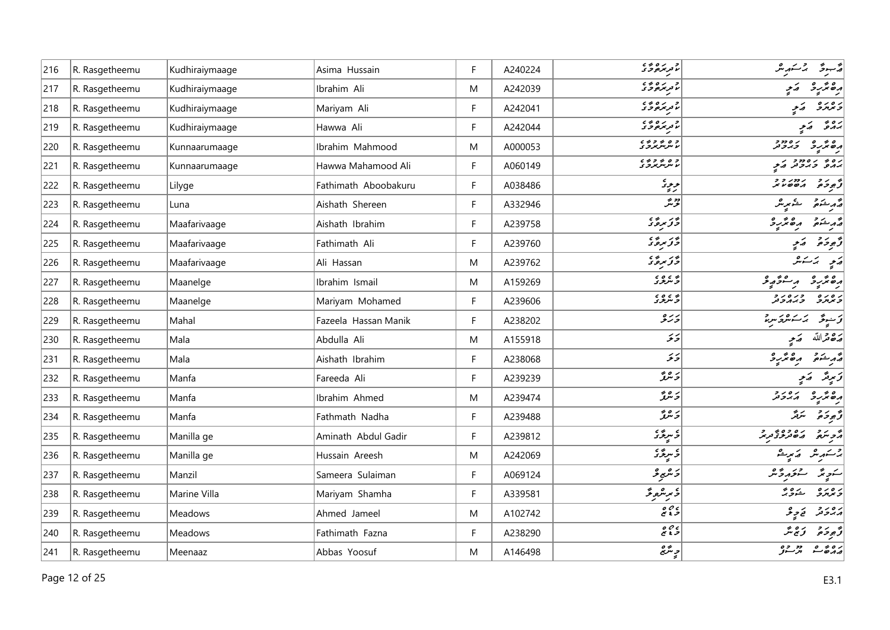| 216 | R. Rasgetheemu | Kudhiraiymaage | Asima Hussain        | F         | A240224 | د دره و ،<br>مورگوری           | برسەمەرىش<br>ومجسوقه                                      |
|-----|----------------|----------------|----------------------|-----------|---------|--------------------------------|-----------------------------------------------------------|
| 217 | R. Rasgetheemu | Kudhiraiymaage | Ibrahim Ali          | M         | A242039 | د به بره و ،<br>ما توبتره و د  | ە ھەترىرى<br>رەھىرىرى<br>ەئىسىيە                          |
| 218 | R. Rasgetheemu | Kudhiraiymaage | Mariyam Ali          | F         | A242041 | د بره و د ،<br>  با مریمره و د | ر ه پر ه<br><del>ر</del> بربرگ                            |
| 219 | R. Rasgetheemu | Kudhiraiymaage | Hawwa Ali            | F         | A242044 | د بره و ،<br>  با در بره و د   | برەپچ<br>ەكىپىيە                                          |
| 220 | R. Rasgetheemu | Kunnaarumaage  | Ibrahim Mahmood      | M         | A000053 | و ه پر و پر ،<br>د سرس پر و ی  | ر ه دو و<br>تربر <del>و</del> تر<br>ە ھەترىر <sup>ە</sup> |
| 221 | R. Rasgetheemu | Kunnaarumaage  | Hawwa Mahamood Ali   | F         | A060149 | د ه پر د پر ،<br>د سرس پر پر   | גם ז' גם חרב הב                                           |
| 222 | R. Rasgetheemu | Lilyge         | Fathimath Aboobakuru | F         | A038486 | مومودگا<br>مرگی                | 22/32/<br>X V O O S<br>و څې د ځه د                        |
| 223 | R. Rasgetheemu | Luna           | Aishath Shereen      | F         | A332946 | دو پر<br>مرس                   | د مرکز کے مرکز<br>مرکزہ کے مرکز                           |
| 224 | R. Rasgetheemu | Maafarivaage   | Aishath Ibrahim      | F         | A239758 | د تو سره د ،                   | رە ئەر ۋ<br>ۇ مەسىسى<br>مەمرىسىنىم                        |
| 225 | R. Rasgetheemu | Maafarivaage   | Fathimath Ali        | F         | A239760 | و د بره و ،<br>ژوکرد د         | ۇ بوز <sub>ە</sub><br>رځمني                               |
| 226 | R. Rasgetheemu | Maafarivaage   | Ali Hassan           | ${\sf M}$ | A239762 | د ځو تر <sub>م</sub> و د       | ړې پرېش                                                   |
| 227 | R. Rasgetheemu | Maanelge       | Ibrahim Ismail       | ${\sf M}$ | A159269 | ه ۵ ه ۵<br>و سرچر              | دە ئېرىۋ<br>ەرسىۋەيج                                      |
| 228 | R. Rasgetheemu | Maanelge       | Mariyam Mohamed      | F         | A239606 | ر د ه ه ه<br>د سربور           | ر ه ر ه<br><del>د</del> بربرو<br>و رە ر د<br>تر پر پر تر  |
| 229 | R. Rasgetheemu | Mahal          | Fazeela Hassan Manik | F         | A238202 | ۇرپى                           | بر کے مرکز سربر<br>ترسيرتى                                |
| 230 | R. Rasgetheemu | Mala           | Abdulla Ali          | ${\sf M}$ | A155918 | ىز                             | رە قرالله كەبچە                                           |
| 231 | R. Rasgetheemu | Mala           | Aishath Ibrahim      | F         | A238068 | ىرى                            | د مرکز ده.<br>مرکز شوه<br>وەغرىرو                         |
| 232 | R. Rasgetheemu | Manfa          | Fareeda Ali          | F         | A239239 | ر ە بۇ<br>ق <sup>ىت</sup> ىل   | ۇيرىگە كەير                                               |
| 233 | R. Rasgetheemu | Manfa          | Ibrahim Ahmed        | ${\sf M}$ | A239474 | ىز شرىچە                       | دە ئۆرۈ<br>بر ٥ پر و<br>م <i>ر</i> بر <del>و</del> تر     |
| 234 | R. Rasgetheemu | Manfa          | Fathmath Nadha       | F         | A239488 | ىز شرىچە                       | و مرد<br>ترجو حرم<br>سرتر                                 |
| 235 | R. Rasgetheemu | Manilla ge     | Aminath Abdul Gadir  | F         | A239812 | ئەسرىچە ئە                     | ر ٥ ٥ ٥ ٥ ٠<br>در ۵ تر تر تر تر تر<br>أأدبره              |
| 236 | R. Rasgetheemu | Manilla ge     | Hussain Areesh       | M         | A242069 | ې<br>د سرچۍ                    | رحمرش كالمربث                                             |
| 237 | R. Rasgetheemu | Manzil         | Sameera Sulaiman     | F         | A069124 | ځە ش <sub>ىنج</sub> ۇ          | سەنزىر ئۇ بىر<br>سەچەتتىر                                 |
| 238 | R. Rasgetheemu | Marine Villa   | Mariyam Shamha       | F         | A339581 | ۇ برىثرو ۋ                     | ر ه بر ه<br><del>د</del> بربر د<br>شەۋ بۇ                 |
| 239 | R. Rasgetheemu | Meadows        | Ahmed Jameel         | ${\sf M}$ | A102742 | 882                            | بروئر قر<br>تع تر بحر                                     |
| 240 | R. Rasgetheemu | Meadows        | Fathimath Fazna      | F         | A238290 | $rac{0}{6}$                    | ىز مى ئىگە<br>ۇ بور د                                     |
| 241 | R. Rasgetheemu | Meenaaz        | Abbas Yoosuf         | ${\sf M}$ | A146498 | جريثي                          | رەپچە<br>ېږم ده                                           |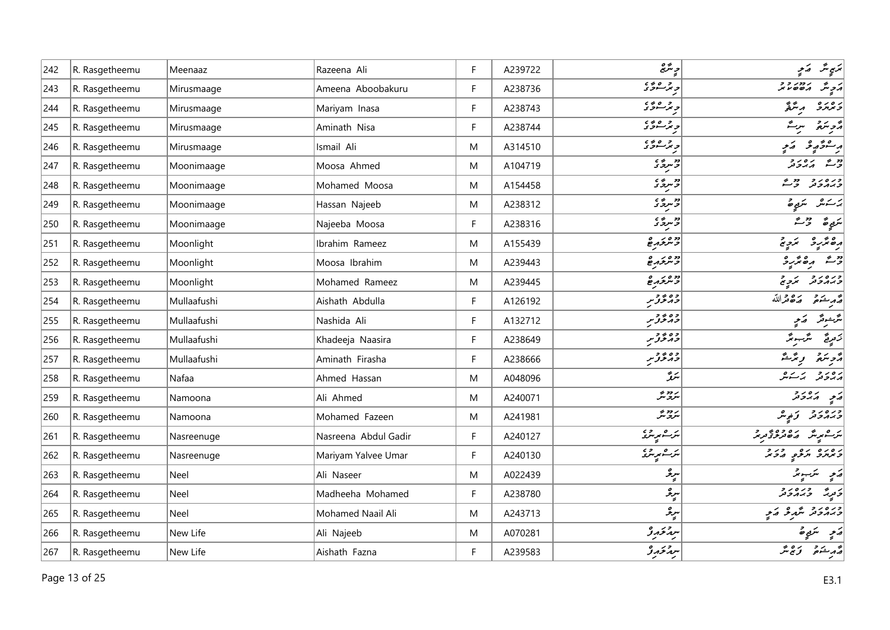| 242 | R. Rasgetheemu | Meenaaz     | Razeena Ali          | F  | A239722 | جريثي                                       | ىرىپە يېڭر<br>ەكىپىيە                                                                                                                                 |
|-----|----------------|-------------|----------------------|----|---------|---------------------------------------------|-------------------------------------------------------------------------------------------------------------------------------------------------------|
| 243 | R. Rasgetheemu | Mirusmaage  | Ameena Aboobakuru    | F. | A238736 | و برگ دی.<br>و برگ دی                       | وَجِبتَر<br>77/77/7                                                                                                                                   |
| 244 | R. Rasgetheemu | Mirusmaage  | Mariyam Inasa        | F. | A238743 | و برگ دی.<br>و برگ دی                       | ر ه ر ه<br>تر <del>ب</del> ر بر<br>برىتىقى                                                                                                            |
| 245 | R. Rasgetheemu | Mirusmaage  | Aminath Nisa         | F  | A238744 | د بر ۱۰۰۰ و د                               | أرمز<br>سرريح                                                                                                                                         |
| 246 | R. Rasgetheemu | Mirusmaage  | Ismail Ali           | M  | A314510 | أحربر فالمعموم                              | وسفرة ويحر                                                                                                                                            |
| 247 | R. Rasgetheemu | Moonimaage  | Moosa Ahmed          | M  | A104719 | ود سرچ ی<br>څسرچ <sub>ک</sub>               | وحديد بدارد و                                                                                                                                         |
| 248 | R. Rasgetheemu | Moonimaage  | Mohamed Moosa        | M  | A154458 | دو<br>ترسرچری                               | و ر ه ر د<br>تر بر تر تر<br>دريمه                                                                                                                     |
| 249 | R. Rasgetheemu | Moonimaage  | Hassan Najeeb        | M  | A238312 | دو<br>ترسرچۍ                                | يُرْسَدُ مَنْ مَرْبِعٍ صَحْ                                                                                                                           |
| 250 | R. Rasgetheemu | Moonimaage  | Najeeba Moosa        | F  | A238316 | دو سرچ ی<br>  <del>د</del> سرچ <sub>ک</sub> | سَمِعٍ صَدَّ حَ                                                                                                                                       |
| 251 | R. Rasgetheemu | Moonlight   | Ibrahim Rameez       | M  | A155439 | لتشريخهم                                    | ە ھەترىرى<br>مەھىرىرى<br>بمرحريح                                                                                                                      |
| 252 | R. Rasgetheemu | Moonlight   | Moosa Ibrahim        | M  | A239443 | لتشريخه وهج                                 | $\begin{array}{cc} 0 & 0 & \frac{1}{2} & \frac{1}{2} \\ 0 & 0 & \frac{1}{2} & \frac{1}{2} \\ \frac{1}{2} & 0 & \frac{1}{2} & \frac{1}{2} \end{array}$ |
| 253 | R. Rasgetheemu | Moonlight   | Mohamed Rameez       | M  | A239445 | لتشريخه وهج                                 | وره رو در در<br>در بروتر نرویج                                                                                                                        |
| 254 | R. Rasgetheemu | Mullaafushi | Aishath Abdulla      | F  | A126192 | 323 گەرىپە                                  | محمد شدة محدد الله                                                                                                                                    |
| 255 | R. Rasgetheemu | Mullaafushi | Nashida Ali          | F  | A132712 | د ه د د ر                                   | ش مرکز کرد.<br>مرکز کرد                                                                                                                               |
| 256 | R. Rasgetheemu | Mullaafushi | Khadeeja Naasira     | F  | A238649 | 3، 35 گرمر                                  | ر<br>ترمړنځ گرېبوټر                                                                                                                                   |
| 257 | R. Rasgetheemu | Mullaafushi | Aminath Firasha      | F. | A238666 | دەنۇرىر                                     | أأدبتهم وبرثة                                                                                                                                         |
| 258 | R. Rasgetheemu | Nafaa       | Ahmed Hassan         | M  | A048096 | سَرُوٌ                                      | رەرد برسەر                                                                                                                                            |
| 259 | R. Rasgetheemu | Namoona     | Ali Ahmed            | M  | A240071 | بر دو پر<br>سرچ سر                          | أقدم المردور                                                                                                                                          |
| 260 | R. Rasgetheemu | Namoona     | Mohamed Fazeen       | M  | A241981 | بر دو پر<br>سرچ سر                          | ورەرو كەنچىر                                                                                                                                          |
| 261 | R. Rasgetheemu | Nasreenuge  | Nasreena Abdul Gadir | F  | A240127 | ىئرىش <sub>ىرىدى</sub> ئ                    | ر می شود و ده و د<br>سرسوپرس اړه ترونو ترمر                                                                                                           |
| 262 | R. Rasgetheemu | Nasreenuge  | Mariyam Yalvee Umar  | F  | A240130 | ىئرىش <sub>مېرىتى</sub> گە                  | נ סנים נים בניב<br>בינו <i>נב וניב</i> ם גבינ                                                                                                         |
| 263 | R. Rasgetheemu | Neel        | Ali Naseer           | M  | A022439 | سرچر                                        | أەمج اللار يوم                                                                                                                                        |
| 264 | R. Rasgetheemu | Neel        | Madheeha Mohamed     | F  | A238780 | سرچر                                        | د د د د د د د                                                                                                                                         |
| 265 | R. Rasgetheemu | Neel        | Mohamed Naail Ali    | M  | A243713 | سرچر                                        | ورەرو شەۋ مۇ                                                                                                                                          |
| 266 | R. Rasgetheemu | New Life    | Ali Najeeb           | M  | A070281 | بىرە ئۇرۇ                                   | أوسمج التنمي فأ                                                                                                                                       |
| 267 | R. Rasgetheemu | New Life    | Aishath Fazna        | F  | A239583 | سرمز ځرمر ژ                                 | مەرىسىن ئى ئى                                                                                                                                         |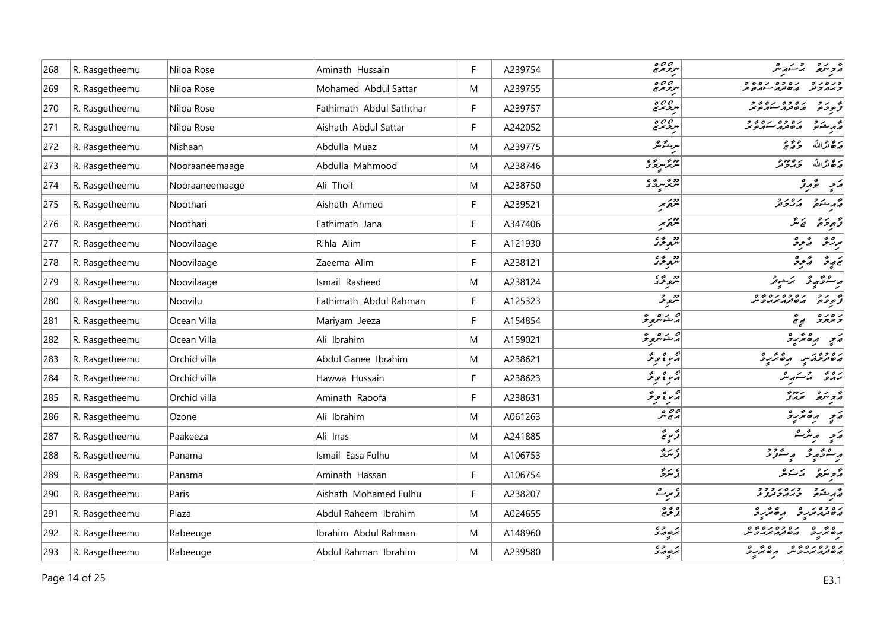| 268 | R. Rasgetheemu | Niloa Rose     | Aminath Hussain          | F | A239754 | سرويرج                       | برسەمەر<br>پ <sup>ر</sup> تر سرچ                                                                                                                                                                                                |
|-----|----------------|----------------|--------------------------|---|---------|------------------------------|---------------------------------------------------------------------------------------------------------------------------------------------------------------------------------------------------------------------------------|
| 269 | R. Rasgetheemu | Niloa Rose     | Mohamed Abdul Sattar     | M | A239755 | سرد بره                      | ر ه وه ره د و<br>پره تربر سوړه د<br>و ر ه ر و<br><del>و</del> بر پر <del>و</del> ر                                                                                                                                              |
| 270 | R. Rasgetheemu | Niloa Rose     | Fathimath Abdul Saththar | F | A239757 | ليروحو                       | ر ه و ه ر ه د و<br>پره تربر سوړه پر<br>و په پر د                                                                                                                                                                                |
| 271 | R. Rasgetheemu | Niloa Rose     | Aishath Abdul Sattar     | F | A242052 | سرد حرج                      | ره وه ره دو<br>په هنرو سوړه د<br>ر<br>در در شوه                                                                                                                                                                                 |
| 272 | R. Rasgetheemu | Nishaan        | Abdulla Muaz             | M | A239775 | سرىشەشر                      | برە ترالله<br>و د مر<br>تر د مر                                                                                                                                                                                                 |
| 273 | R. Rasgetheemu | Nooraaneemaage | Abdulla Mahmood          | M | A238746 | دو پر پره<br>سرپر سرچري      | ەھىراللە<br>ر ه دو و<br>تربر <del>و</del> تر                                                                                                                                                                                    |
| 274 | R. Rasgetheemu | Nooraaneemaage | Ali Thoif                | M | A238750 | دو پر پره<br>سرپر سرچري      | ړنې پوړو                                                                                                                                                                                                                        |
| 275 | R. Rasgetheemu | Noothari       | Aishath Ahmed            | F | A239521 | انقهم                        | برور و<br>و مر<br>مرکز مشوحو                                                                                                                                                                                                    |
| 276 | R. Rasgetheemu | Noothari       | Fathimath Jana           | F | A347406 | أمهيموسر                     | و په پر د<br>تع مگر                                                                                                                                                                                                             |
| 277 | R. Rasgetheemu | Noovilaage     | Rihla Alim               | F | A121930 | دد<br>شرع څرن                | بررد<br>رژوژ                                                                                                                                                                                                                    |
| 278 | R. Rasgetheemu | Noovilaage     | Zaeema Alim              | F | A238121 | دد<br>متر <sub>جو</sub> بحری | ئە ھەرىجە<br>ئ<br>ەرور                                                                                                                                                                                                          |
| 279 | R. Rasgetheemu | Noovilaage     | Ismail Rasheed           | M | A238124 | دد<br>متر <sub>جو</sub> بحری | ىر مەئىر ئەر<br>كرمشوقر                                                                                                                                                                                                         |
| 280 | R. Rasgetheemu | Noovilu        | Fathimath Abdul Rahman   | F | A125323 | يتره چر                      | ر ه د ه ر ه ر ه<br>پره تر پر برگر<br>ء<br>توجو حو                                                                                                                                                                               |
| 281 | R. Rasgetheemu | Ocean Villa    | Mariyam Jeeza            | F | A154854 | ە ئەئەمىرىدىگە<br>م          | ر ه ر ه<br><del>و</del> بربر و<br>فج پخ                                                                                                                                                                                         |
| 282 | R. Rasgetheemu | Ocean Villa    | Ali Ibrahim              | M | A159021 | ە<br>مەشەھرى <b>ر</b> ئى     | ړې ره پر د                                                                                                                                                                                                                      |
| 283 | R. Rasgetheemu | Orchid villa   | Abdul Ganee Ibrahim      | M | A238621 | ەر بە ئوقر                   | גם כבות הסתנכ                                                                                                                                                                                                                   |
| 284 | R. Rasgetheemu | Orchid villa   | Hawwa Hussain            | F | A238623 | ەر بە ئاھەتىر<br>مەسىم ئاھ   | برە پچ<br>برسەمەرىش                                                                                                                                                                                                             |
| 285 | R. Rasgetheemu | Orchid villa   | Aminath Raoofa           | F | A238631 | ەر بە ئوقر                   | ر دور<br>بورو تو<br>ړ د سره په                                                                                                                                                                                                  |
| 286 | R. Rasgetheemu | Ozone          | Ali Ibrahim              | M | A061263 | ە يە<br>مەنب                 |                                                                                                                                                                                                                                 |
| 287 | R. Rasgetheemu | Paakeeza       | Ali Inas                 | M | A241885 | بو مو پنج<br>بو مو پنج       | ړنې پر شر                                                                                                                                                                                                                       |
| 288 | R. Rasgetheemu | Panama         | Ismail Easa Fulhu        | M | A106753 | ی پر پی                      | ړ شو په په دو د                                                                                                                                                                                                                 |
| 289 | R. Rasgetheemu | Panama         | Aminath Hassan           | F | A106754 | ې پر پر<br>بر سرچ            | پر<br>در سرچ<br>برسەمىر                                                                                                                                                                                                         |
| 290 | R. Rasgetheemu | Paris          | Aishath Mohamed Fulhu    | F | A238207 | ۇ بر م                       | ر<br>پر گرمسکو جو<br>2 ر 0 ر 2 و 2<br>ر بر بر <del>ت</del> رتو تر                                                                                                                                                               |
| 291 | R. Rasgetheemu | Plaza          | Abdul Raheem Ibrahim     | M | A024655 | وثرتج                        | ן פיפיק פי<br>גם בקח יבה ב<br>ە ھەترىر ۋ                                                                                                                                                                                        |
| 292 | R. Rasgetheemu | Rabeeuge       | Ibrahim Abdul Rahman     | M | A148960 | پر چوه د                     | ر ه و ه ر ه د ه<br>پره تر پر پر تر سر<br>ە ھەترىر <sup>ە</sup>                                                                                                                                                                  |
| 293 | R. Rasgetheemu | Rabeeuge       | Abdul Rahman Ibrahim     | M | A239580 | ر<br>مرحوم د                 | גם כם גם כם הם מיים ביו כל הם היו כל היו כל היו כל היו כל היו כל היו כל היו כל היו כל היו כל היו כל היו כל היו<br>הגיש בת היו הגיש הגיל היו היו כל היו כל היו כל היו כל היו כל היו כל היו כל היו כל היו כל היו כל היו כל היו כל |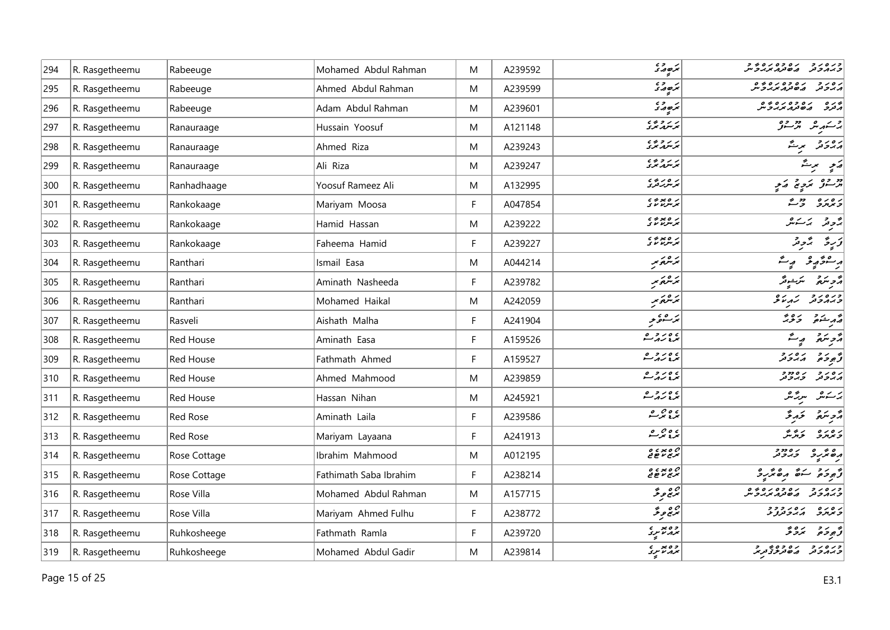| 294 | R. Rasgetheemu | Rabeeuge         | Mohamed Abdul Rahman   | M           | A239592 | ر<br>ترەم د                           | ر ٥ ر ٥ ر ٥ ر و<br>در <i>ه بربر <del>د</del> س</i><br>و رە ر د<br>تر پر تر تر  |
|-----|----------------|------------------|------------------------|-------------|---------|---------------------------------------|--------------------------------------------------------------------------------|
| 295 | R. Rasgetheemu | Rabeeuge         | Ahmed Abdul Rahman     | M           | A239599 | پر چوړ د<br>مربح                      | ره وه ره د ه<br>پره تربر تر ش<br>ر ە ر د<br>مەركىر                             |
| 296 | R. Rasgetheemu | Rabeeuge         | Adam Abdul Rahman      | M           | A239601 | ترەم د                                | ره وه ره ده.<br>پره تربر بربر تر س<br>پەر ە<br>مەنىرچ                          |
| 297 | R. Rasgetheemu | Ranauraage       | Hussain Yoosuf         | M           | A121148 | ر ر د د ،<br>برس پر برد               | جەسى <sub>م</sub> ە ھەم جۇ جەم                                                 |
| 298 | R. Rasgetheemu | Ranauraage       | Ahmed Riza             | M           | A239243 | ر ر د » ،<br>برس پر برد               | رەرو برگ                                                                       |
| 299 | R. Rasgetheemu | Ranauraage       | Ali Riza               | M           | A239247 | ر ر د » ><br>برس پر بری               | ړې برگ                                                                         |
| 300 | R. Rasgetheemu | Ranhadhaage      | Yoosuf Rameez Ali      | M           | A132995 |                                       | در ده پر <sub>و</sub> چ کړم                                                    |
| 301 | R. Rasgetheemu | Rankokaage       | Mariyam Moosa          | $\mathsf F$ | A047854 | ر ٥ پر د ٠<br>برس ر                   | رەرە دور                                                                       |
| 302 | R. Rasgetheemu | Rankokaage       | Hamid Hassan           | M           | A239222 | ر ٥ پر <i>٤ ي</i><br>برس <i>٧ ي</i> ر | برٌحرِ قر<br>برسەيىتىر                                                         |
| 303 | R. Rasgetheemu | Rankokaage       | Faheema Hamid          | F           | A239227 | ر ٥ پر <i>٤ ٤</i><br>برس لا ړ         | أوَرِدٌ - بُرُونْرُ                                                            |
| 304 | R. Rasgetheemu | Ranthari         | Ismail Easa            | M           | A044214 | ابرمور                                | وستوم و و ش                                                                    |
| 305 | R. Rasgetheemu | Ranthari         | Aminath Nasheeda       | $\mathsf F$ | A239782 | ابرشموسر                              | أأدو سكرة السكر سكر فيحر                                                       |
| 306 | R. Rasgetheemu | Ranthari         | Mohamed Haikal         | M           | A242059 | برەرىر                                | ورەرو ئەرى                                                                     |
| 307 | R. Rasgetheemu | Rasveli          | Aishath Malha          | F           | A241904 | ىرسىمۇم                               | أشهر شده والمحافظة                                                             |
| 308 | R. Rasgetheemu | <b>Red House</b> | Aminath Easa           | $\mathsf F$ | A159526 | ، ە بر جەم<br>ئىربى <i>س</i> ىر       | أزجر سنتمر ويدمثم                                                              |
| 309 | R. Rasgetheemu | <b>Red House</b> | Fathmath Ahmed         | F           | A159527 | ، ەر دە                               | أو برو برەبرو                                                                  |
| 310 | R. Rasgetheemu | <b>Red House</b> | Ahmed Mahmood          | M           | A239859 | ، ەر دە                               | بر 2 ر 1<br>مربر <del>5</del> تر<br>ر ه دو و<br>تربر <del>و</del> تر           |
| 311 | R. Rasgetheemu | Red House        | Hassan Nihan           | M           | A245921 | ، ەر دەپە                             | برسەيىتە<br>سرترىگر                                                            |
| 312 | R. Rasgetheemu | Red Rose         | Aminath Laila          | $\mathsf F$ | A239586 | بره جرعه                              | أرمز برد<br>خەرىخە                                                             |
| 313 | R. Rasgetheemu | Red Rose         | Mariyam Layaana        | F           | A241913 | برہ جرعہ                              | ىز بۇ ئە<br>ر ه ر ه<br><del>ر</del> بربرگر                                     |
| 314 | R. Rasgetheemu | Rose Cottage     | Ibrahim Mahmood        | M           | A012195 | 0 و بر ي و<br>مربح م ط مح             | ر ه دو و<br>تربر <del>و</del> تر<br>  رە ئرىر ۋ                                |
| 315 | R. Rasgetheemu | Rose Cottage     | Fathimath Saba Ibrahim | F           | A238214 | ە ەيدە ە<br>ترى ئىس                   | ژُودَهُ خَنَّ رَهُ بُرِدْ                                                      |
| 316 | R. Rasgetheemu | Rose Villa       | Mohamed Abdul Rahman   | M           | A157715 | ەھ بۇ ئە                              | ر ه و ه د ه د ه<br>پره تر پر تر تر<br>و ر ه ر د<br>تر پر ژ تر                  |
| 317 | R. Rasgetheemu | Rose Villa       | Mariyam Ahmed Fulhu    | F           | A238772 | ەھ بۇ<br>ئىرىج <sub>قرى</sub> مۇ      | بر 2 و 2 و 2<br>پر بر <del>و</del> تر تو تر<br>ر ه بر ه<br><del>ر</del> بربر ژ |
| 318 | R. Rasgetheemu | Ruhkosheege      | Fathmath Ramla         | F.          | A239720 | و ه پر پر<br>مردر مربری               | وٌجِ حَرَمٌ مَرَحَرٌ                                                           |
| 319 | R. Rasgetheemu | Ruhkosheege      | Mohamed Abdul Gadir    | M           | A239814 | و ٥ پر ٢<br>بردر ما مړي               | ورەرو رەدەپەرچ                                                                 |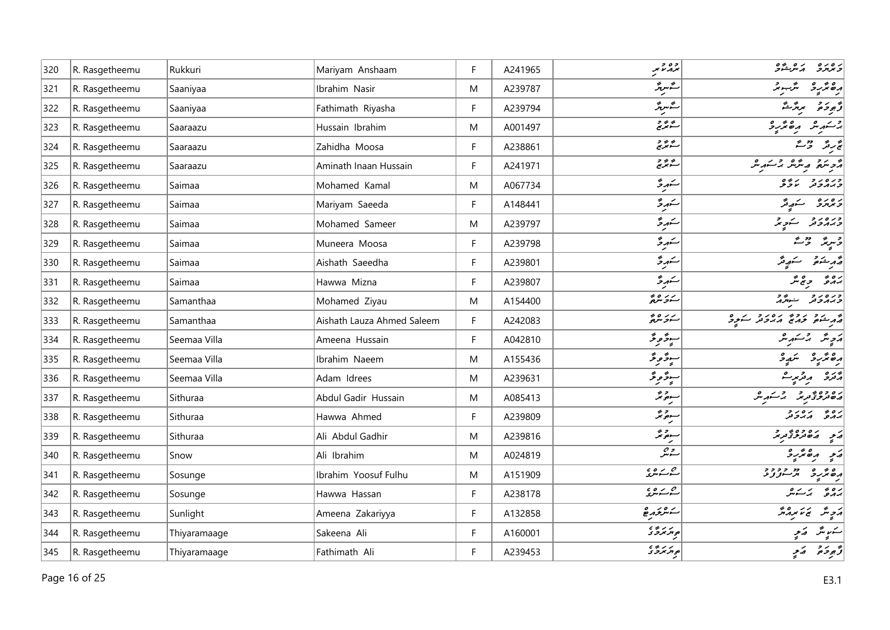| 320 | R. Rasgetheemu | Rukkuri      | Mariyam Anshaam            | F. | A241965 | وه و<br>محمد ما محم       | ىر ئ <i>ىرى</i> شۇ ئ<br>ر ه ر ه<br><del>ر</del> بربرگ |
|-----|----------------|--------------|----------------------------|----|---------|---------------------------|-------------------------------------------------------|
| 321 | R. Rasgetheemu | Saaniyaa     | Ibrahim Nasir              | M  | A239787 | سەمبرىز                   | ەرھەترىر <sup>ە</sup><br>مترسه تر                     |
| 322 | R. Rasgetheemu | Saaniyaa     | Fathimath Riyasha          | F. | A239794 | سەمبر                     | ۇ ب <sub>و</sub> ر د<br>ىروگرىنگە                     |
| 323 | R. Rasgetheemu | Saaraazu     | Hussain Ibrahim            | M  | A001497 | شەپەر                     |                                                       |
| 324 | R. Rasgetheemu | Saaraazu     | Zahidha Moosa              | F  | A238861 | شۇرىيە                    | د عثر<br>پچ <sub>مر</sub> وگر                         |
| 325 | R. Rasgetheemu | Saaraazu     | Aminath Inaan Hussain      | F  | A241971 | شۇرىيە                    | أأدينه ويترشر بزخيرين                                 |
| 326 | R. Rasgetheemu | Saimaa       | Mohamed Kamal              | M  | A067734 | ستهرقر                    |                                                       |
| 327 | R. Rasgetheemu | Saimaa       | Mariyam Saeeda             | F  | A148441 | سەرد                      | رەرە سەرتە                                            |
| 328 | R. Rasgetheemu | Saimaa       | Mohamed Sameer             | M  | A239797 | سەرىج                     | ورەرو سەچە                                            |
| 329 | R. Rasgetheemu | Saimaa       | Muneera Moosa              | F. | A239798 | ستهرد                     | د پر ته د                                             |
| 330 | R. Rasgetheemu | Saimaa       | Aishath Saeedha            | F  | A239801 | ستهرقر                    | و من ديگر ديگر<br>مارستون سکوپور                      |
| 331 | R. Rasgetheemu | Saimaa       | Hawwa Mizna                | F  | A239807 | سەرىج                     | برە ئەر ئەيگە                                         |
| 332 | R. Rasgetheemu | Samanthaa    | Mohamed Ziyau              | M  | A154400 | سرده پر                   | כנסנכ היבר<br><i>בג</i> ובב היולו                     |
| 333 | R. Rasgetheemu | Samanthaa    | Aishath Lauza Ahmed Saleem | F  | A242083 | سەر ھەيج                  | و در د د د د د د د د سرور                             |
| 334 | R. Rasgetheemu | Seemaa Villa | Ameena Hussain             | F  | A042810 | -وڅ و ځه                  | أرَجِيسٌ بِرْسَمْرِيسٌ                                |
| 335 | R. Rasgetheemu | Seemaa Villa | Ibrahim Naeem              | M  | A155436 | سوڈ <sub>حر</sub> مڈ      | ەھ <i>ترى</i> ۋە سەر                                  |
| 336 | R. Rasgetheemu | Seemaa Villa | Adam Idrees                | M  | A239631 | سوژٌو ژٌ                  | أيمنده أيرتز يرت                                      |
| 337 | R. Rasgetheemu | Sithuraa     | Abdul Gadir Hussain        | M  | A085413 | ۔ وہ تر                   | رە دەپرىر بىر ئەر                                     |
| 338 | R. Rasgetheemu | Sithuraa     | Hawwa Ahmed                | F. | A239809 | سوە پىر                   | $5.001$ $501$                                         |
| 339 | R. Rasgetheemu | Sithuraa     | Ali Abdul Gadhir           | Μ  | A239816 | سوە ئىگە                  | ر ده ده در در د                                       |
| 340 | R. Rasgetheemu | Snow         | Ali Ibrahim                | Μ  | A024819 | يەمبر                     | ەر ھەترىر 3<br>بر ھەترىر 3<br>ر<br>د په               |
| 341 | R. Rasgetheemu | Sosunge      | Ibrahim Yoosuf Fulhu       | M  | A151909 | <u>مریم کره ی</u>         | دو و د و د<br>در سور و د<br>ەرھەترىر <sup>ى</sup>     |
| 342 | R. Rasgetheemu | Sosunge      | Hawwa Hassan               | F. | A238178 | <u>م ئەيدى</u>            | ر ه بو<br>بر د څ<br>برَسەنگە                          |
| 343 | R. Rasgetheemu | Sunlight     | Ameena Zakariyya           | F. | A132858 | ر<br>سەنئە <i>رى</i> رىقى | הַבְּית הַעַתְרת                                      |
| 344 | R. Rasgetheemu | Thiyaramaage | Sakeena Ali                | F  | A160001 | <br>  مورنمرد د           | سەر پىتىر                                             |
| 345 | R. Rasgetheemu | Thiyaramaage | Fathimath Ali              | F  | A239453 | <br>  مورنمرد د           | وٌجوحهُ - مَرِ                                        |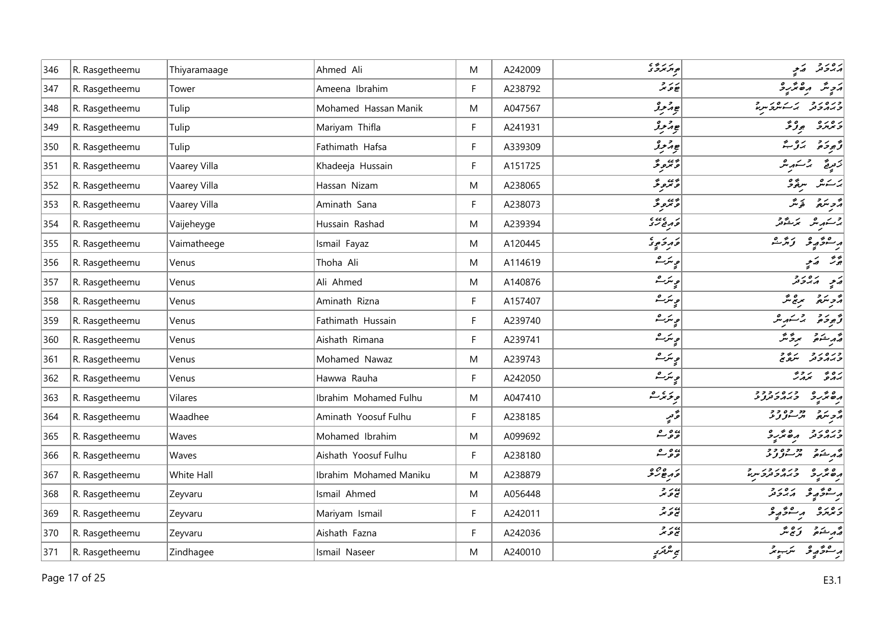| 346 | R. Rasgetheemu | Thiyaramaage      | Ahmed Ali              | M  | A242009 | ر ر د د<br>موهر پرو د            | ړ ور د کړ                                                                                                                                                                                                                                                                                                           |
|-----|----------------|-------------------|------------------------|----|---------|----------------------------------|---------------------------------------------------------------------------------------------------------------------------------------------------------------------------------------------------------------------------------------------------------------------------------------------------------------------|
| 347 | R. Rasgetheemu | Tower             | Ameena Ibrahim         | F  | A238792 | ر ر د<br>ح <i>و</i> نو           | مۇجەتتىر<br>برە ئۆرۈ                                                                                                                                                                                                                                                                                                |
| 348 | R. Rasgetheemu | Tulip             | Mohamed Hassan Manik   | M  | A047567 | جوړېږ د                          | و رە ر د<br><i>د بر</i> گەر<br>ئەسەھە ئەسرىد                                                                                                                                                                                                                                                                        |
| 349 | R. Rasgetheemu | Tulip             | Mariyam Thifla         | F  | A241931 | جوړېږ                            | ە ئۇ ق<br>ويربرو                                                                                                                                                                                                                                                                                                    |
| 350 | R. Rasgetheemu | Tulip             | Fathimath Hafsa        | F  | A339309 | جوړېږ د                          | ۇ بۇرۇ بۇرغ                                                                                                                                                                                                                                                                                                         |
| 351 | R. Rasgetheemu | Vaarey Villa      | Khadeeja Hussain       | F  | A151725 | ەسىمبىر ئىچە<br>ھەتىر <i>م</i> و | تزمریق   بر سنهریش                                                                                                                                                                                                                                                                                                  |
| 352 | R. Rasgetheemu | Vaarey Villa      | Hassan Nizam           | M  | A238065 | ە يە<br>قەنىر بوقر               | برسەيىر<br>سرڅو                                                                                                                                                                                                                                                                                                     |
| 353 | R. Rasgetheemu | Vaarey Villa      | Aminath Sana           | F  | A238073 | ە يە ھەرىچە                      | أأرد سكرة أتحاشر                                                                                                                                                                                                                                                                                                    |
| 354 | R. Rasgetheemu | Vaijeheyge        | Hussain Rashad         | M  | A239394 | ر<br>ح در ج ر د                  | چرىكىرىش ئېرىشكەر                                                                                                                                                                                                                                                                                                   |
| 355 | R. Rasgetheemu | Vaimatheege       | Ismail Fayaz           | M  | A120445 | ى<br>قەرىخ م <sub>ۇ</sub> ي      | ر شۇر ئۇر                                                                                                                                                                                                                                                                                                           |
| 356 | R. Rasgetheemu | Venus             | Thoha Ali              | M  | A114619 | <sub>عب</sub> ِ سَرَتْہ          | $\frac{1}{2}$ $\frac{1}{2}$ $\frac{1}{2}$ $\frac{1}{2}$ $\frac{1}{2}$ $\frac{1}{2}$ $\frac{1}{2}$ $\frac{1}{2}$ $\frac{1}{2}$ $\frac{1}{2}$ $\frac{1}{2}$ $\frac{1}{2}$ $\frac{1}{2}$ $\frac{1}{2}$ $\frac{1}{2}$ $\frac{1}{2}$ $\frac{1}{2}$ $\frac{1}{2}$ $\frac{1}{2}$ $\frac{1}{2}$ $\frac{1}{2}$ $\frac{1}{2}$ |
| 357 | R. Rasgetheemu | Venus             | Ali Ahmed              | M  | A140876 | مەيترىشە                         |                                                                                                                                                                                                                                                                                                                     |
| 358 | R. Rasgetheemu | Venus             | Aminath Rizna          | F. | A157407 | ء ٍ سَرَتْه                      |                                                                                                                                                                                                                                                                                                                     |
| 359 | R. Rasgetheemu | Venus             | Fathimath Hussain      | F. | A239740 | <sub>عب</sub> ِ سَرَتْہ          | ۋە ئەقسىر                                                                                                                                                                                                                                                                                                           |
| 360 | R. Rasgetheemu | Venus             | Aishath Rimana         | F  | A239741 | <sub>عب</sub> ِ سَرَتْہ          | أقمر شنقى مرقانتر                                                                                                                                                                                                                                                                                                   |
| 361 | R. Rasgetheemu | Venus             | Mohamed Nawaz          | M  | A239743 | ء ٍ سَرَتْه                      | و ر ه ر د<br><i>و بر</i> پر <del>ر</del><br>ر پر د<br>سرچ م                                                                                                                                                                                                                                                         |
| 362 | R. Rasgetheemu | Venus             | Hawwa Rauha            | F. | A242050 | ء ٍ سَرَتْه                      | ر ه و<br>برد و<br>سروی                                                                                                                                                                                                                                                                                              |
| 363 | R. Rasgetheemu | Vilares           | Ibrahim Mohamed Fulhu  | M  | A047410 | وبخترشه                          | ۶ ۶ ۶ ۶ ۶ ۶ ۶<br>۳ <i>۶ ۶ ۶ ۶ ۶ ۶ ۶</i><br>ەر ھەترىر <i>ۋ</i>                                                                                                                                                                                                                                                       |
| 364 | R. Rasgetheemu | Waadhee           | Aminath Yoosuf Fulhu   | F  | A238185 | ر<br>حرمي                        | لترمز معر<br>دد وه و د                                                                                                                                                                                                                                                                                              |
| 365 | R. Rasgetheemu | Waves             | Mohamed Ibrahim        | M  | A099692 | <sup>ي ه</sup> ره.               | و ر ه ر د<br>د بر پر تر<br>5/500                                                                                                                                                                                                                                                                                    |
| 366 | R. Rasgetheemu | Waves             | Aishath Yoosuf Fulhu   | F. | A238180 | ە <i>بە ھ</i>                    | دد و د د د<br>در سرو د ر<br>د مرکز د میگرد<br>مرکز مشوجی                                                                                                                                                                                                                                                            |
| 367 | R. Rasgetheemu | <b>White Hall</b> | Ibrahim Mohamed Maniku | M  | A238879 | وَرِءِ رُوُ                      | כ מ ם מ כ מ יישוב<br>המרית ב נקב יישוב                                                                                                                                                                                                                                                                              |
| 368 | R. Rasgetheemu | Zeyvaru           | Ismail Ahmed           | M  | A056448 | ں ر و<br>سی حر                   | وصفحوفه وبالمحمد                                                                                                                                                                                                                                                                                                    |
| 369 | R. Rasgetheemu | Zeyvaru           | Mariyam Ismail         | F  | A242011 | ں پر ح<br>سی حر سر               | ر ه ر ه<br><del>ر</del> بربرگ<br>برىشۇپەيۋ                                                                                                                                                                                                                                                                          |
| 370 | R. Rasgetheemu | Zeyvaru           | Aishath Fazna          | F. | A242036 | پر بر حر<br>  سی حر              | ۇرىشكە زېڭر                                                                                                                                                                                                                                                                                                         |
| 371 | R. Rasgetheemu | Zindhagee         | Ismail Naseer          | M  | A240010 | ىج يىڭرىمىيە                     | أراعتمور ومستعمر                                                                                                                                                                                                                                                                                                    |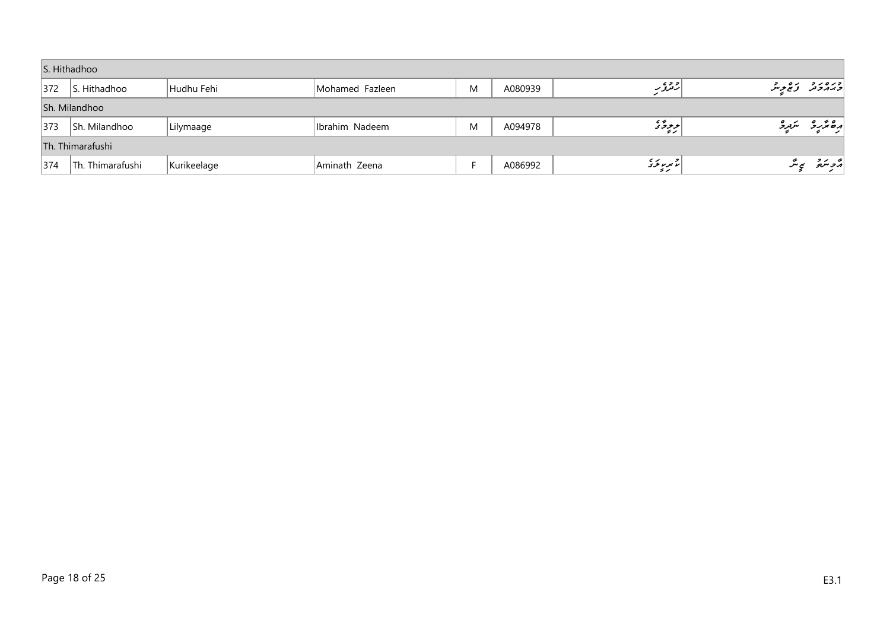|        | S. Hithadhoo         |             |                 |   |         |                  |       |            |
|--------|----------------------|-------------|-----------------|---|---------|------------------|-------|------------|
| 372    | S. Hithadhoo         | Hudhu Fehi  | Mohamed Fazleen | M | A080939 | و و ء<br>رقوبو ر |       | ورەرو رەپر |
|        | Sh. Milandhoo        |             |                 |   |         |                  |       |            |
| $ 373$ | <b>Sh. Milandhoo</b> | Lilymaage   | Ibrahim Nadeem  | M | A094978 | ووڈ ڈ<br>ر       | سرترو | رەپۇر ۋ    |
|        | Th. Thimarafushi     |             |                 |   |         |                  |       |            |
| 374    | Th. Thimarafushi     | Kurikeelage | Aminath Zeena   |   | A086992 | ئەبىر بويجە كە   | سے سر | پژ پر سرچ  |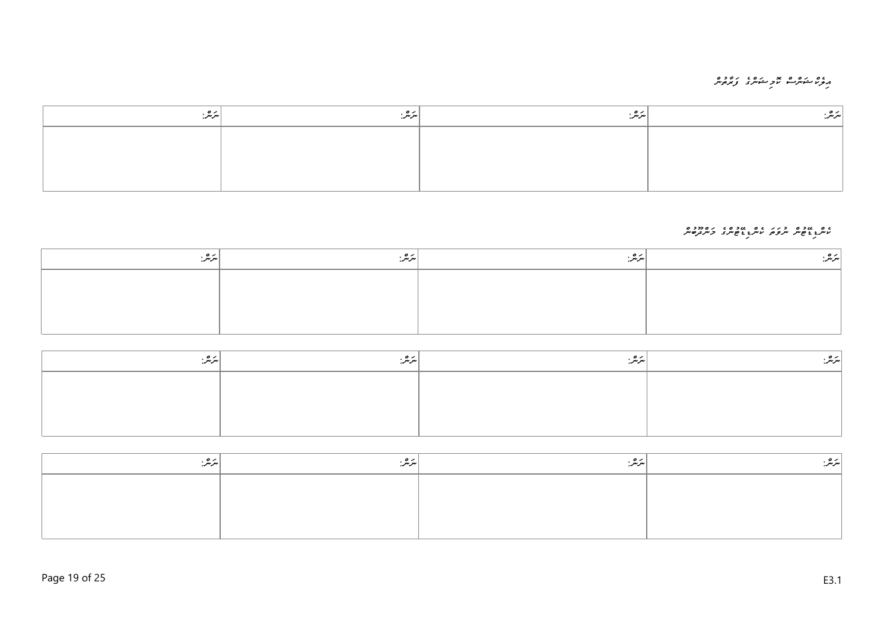## *w7qAn8m? sCw7mRo>u; wEw7mRw;sBo<*

| ' مرمر | 'يئرىثر: |
|--------|----------|
|        |          |
|        |          |
|        |          |

## *w7q9r@w7m> sCw7qHtFoFw7s; mAm=q7 w7qHtFoFw7s;*

| يئرمىش: | $^{\circ}$<br>. سر سر<br>$\cdot$ | $\circ$ $\sim$<br>-- | يئرمثر |
|---------|----------------------------------|----------------------|--------|
|         |                                  |                      |        |
|         |                                  |                      |        |
|         |                                  |                      |        |

| انترنثر: | $^{\circ}$ | يبرهر | $^{\circ}$<br>سرسر |
|----------|------------|-------|--------------------|
|          |            |       |                    |
|          |            |       |                    |
|          |            |       |                    |

| ىرتىر: | 。<br>سر سر | .,<br>مرسر |
|--------|------------|------------|
|        |            |            |
|        |            |            |
|        |            |            |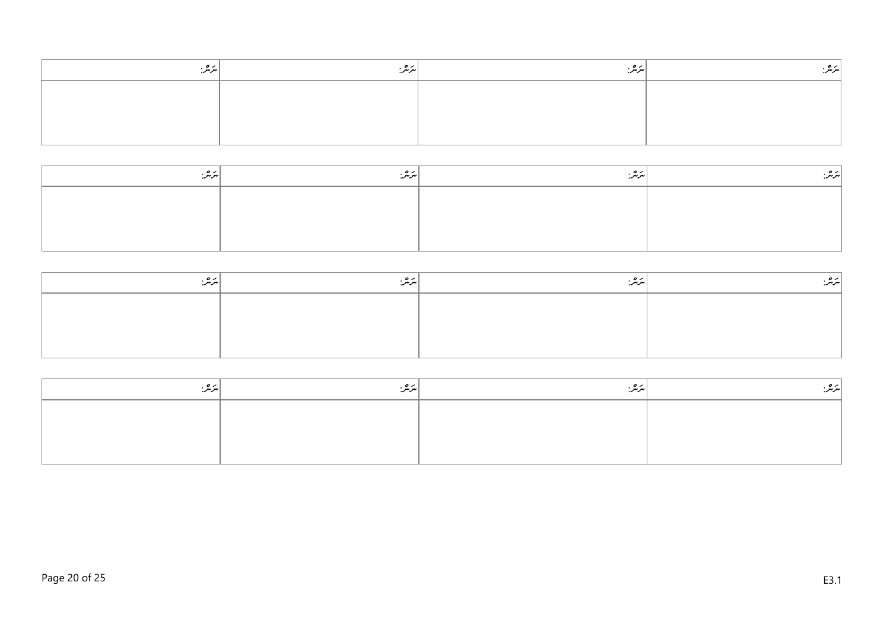| يره. | ο. | ا ير ه |  |
|------|----|--------|--|
|      |    |        |  |
|      |    |        |  |
|      |    |        |  |

| <sup>.</sup> سرسر. |  |
|--------------------|--|
|                    |  |
|                    |  |
|                    |  |

| ىئرىتر. | $\sim$ | ا بر هه. | لىرىش |
|---------|--------|----------|-------|
|         |        |          |       |
|         |        |          |       |
|         |        |          |       |

| 。<br>مرس. | $\overline{\phantom{a}}$<br>مر مىر | يتريثر |
|-----------|------------------------------------|--------|
|           |                                    |        |
|           |                                    |        |
|           |                                    |        |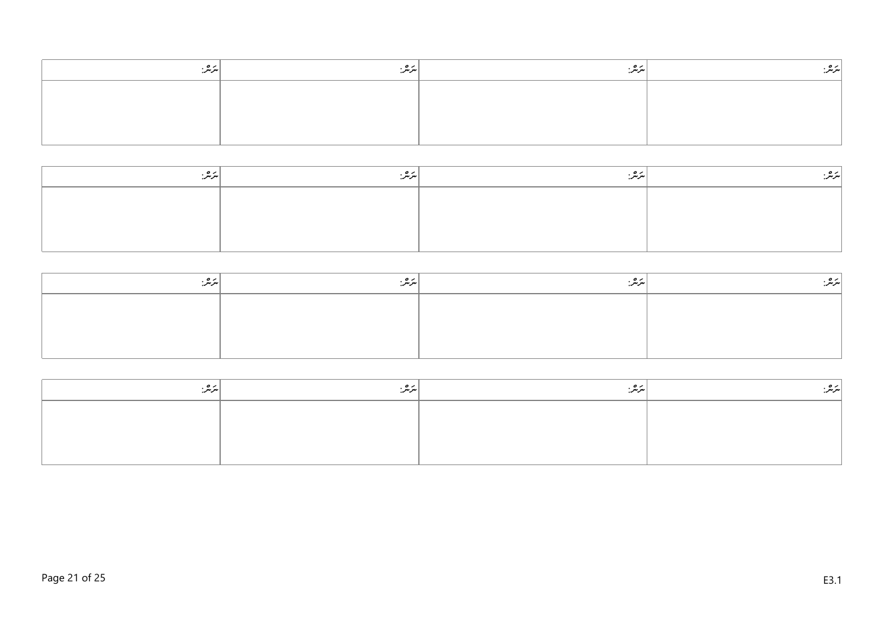| ير هو . | $\overline{\phantom{a}}$ | يرمر | اير هنه. |
|---------|--------------------------|------|----------|
|         |                          |      |          |
|         |                          |      |          |
|         |                          |      |          |

| ىر تىر: | $\circ$ $\sim$<br>" سرسر . | يترمير | o . |
|---------|----------------------------|--------|-----|
|         |                            |        |     |
|         |                            |        |     |
|         |                            |        |     |

| 'تترنثر: | 。<br>,,,, |  |
|----------|-----------|--|
|          |           |  |
|          |           |  |
|          |           |  |

|  | . ه |
|--|-----|
|  |     |
|  |     |
|  |     |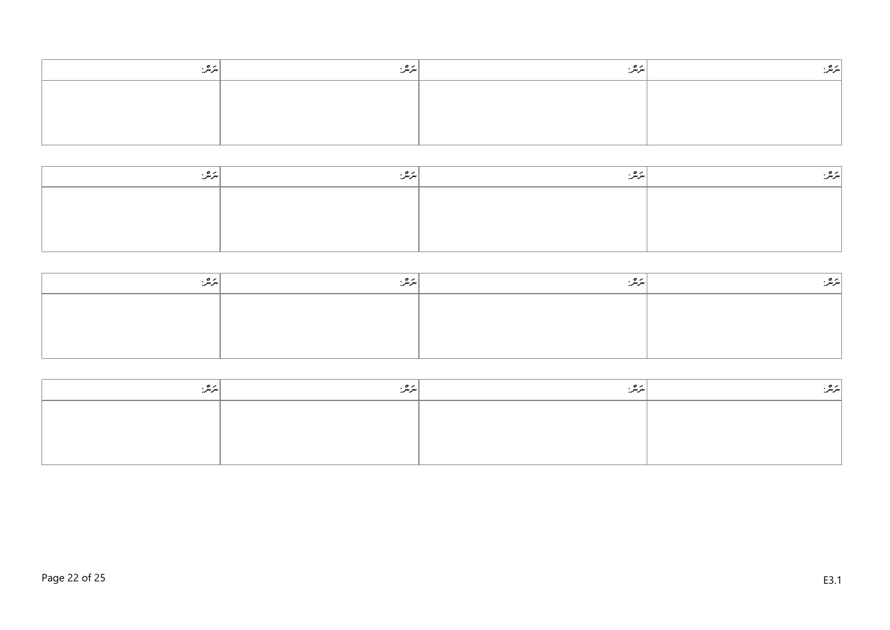| ير هو . | $\overline{\phantom{a}}$ | يرمر | اير هنه. |
|---------|--------------------------|------|----------|
|         |                          |      |          |
|         |                          |      |          |
|         |                          |      |          |

| ىر تىر: | $\circ$ $\sim$<br>" سرسر . | يترمير | o . |
|---------|----------------------------|--------|-----|
|         |                            |        |     |
|         |                            |        |     |
|         |                            |        |     |

| 'تترنثر: | 。<br>,,,, |  |
|----------|-----------|--|
|          |           |  |
|          |           |  |
|          |           |  |

|  | . ه |
|--|-----|
|  |     |
|  |     |
|  |     |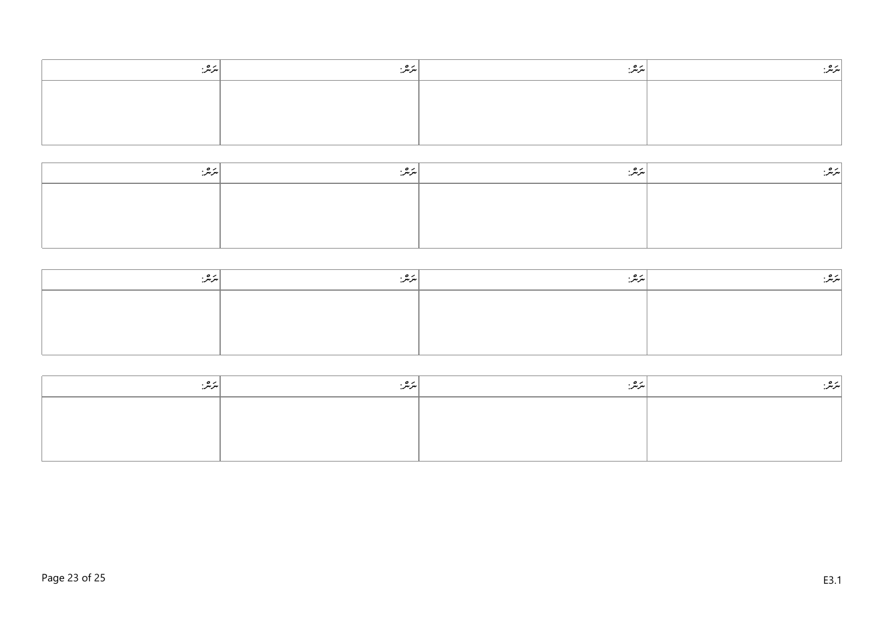| $\cdot$ | 。 | $\frac{\circ}{\cdot}$ | $\sim$<br>سرسر |
|---------|---|-----------------------|----------------|
|         |   |                       |                |
|         |   |                       |                |
|         |   |                       |                |

| ايرعر: | ر ه<br>. . |  |
|--------|------------|--|
|        |            |  |
|        |            |  |
|        |            |  |

| بر ه | . ه | $\overline{\phantom{0}}$<br>سرسر |  |
|------|-----|----------------------------------|--|
|      |     |                                  |  |
|      |     |                                  |  |
|      |     |                                  |  |

| 。<br>. س | ىرىىر |  |
|----------|-------|--|
|          |       |  |
|          |       |  |
|          |       |  |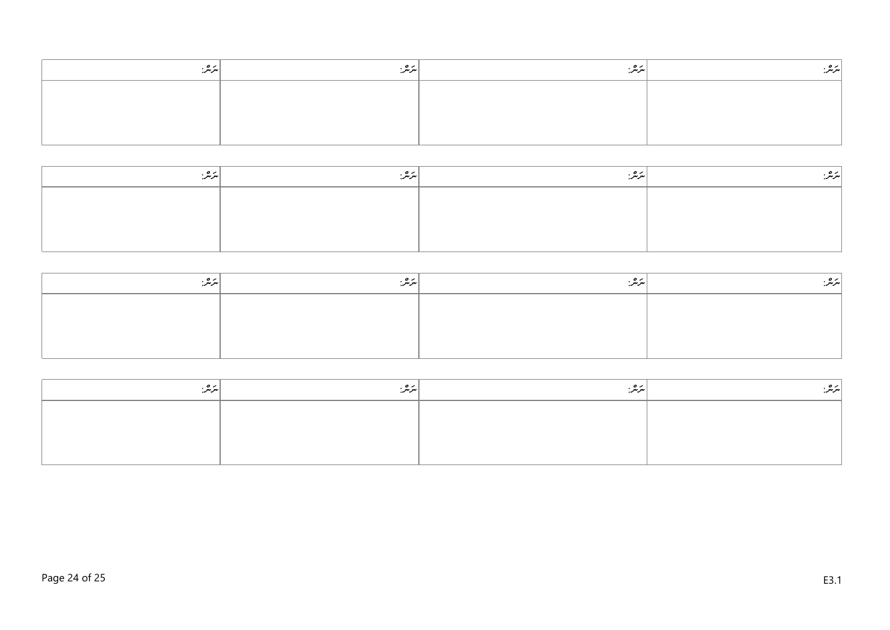| ير هو . | $\overline{\phantom{a}}$ | يرمر | اير هنه. |
|---------|--------------------------|------|----------|
|         |                          |      |          |
|         |                          |      |          |
|         |                          |      |          |

| ىر تىر: | $\circ$ $\sim$<br>" سرسر . | يترمير | o . |
|---------|----------------------------|--------|-----|
|         |                            |        |     |
|         |                            |        |     |
|         |                            |        |     |

| 'تترنثر: | 。<br>,,,, |  |
|----------|-----------|--|
|          |           |  |
|          |           |  |
|          |           |  |

|  | . ه |
|--|-----|
|  |     |
|  |     |
|  |     |